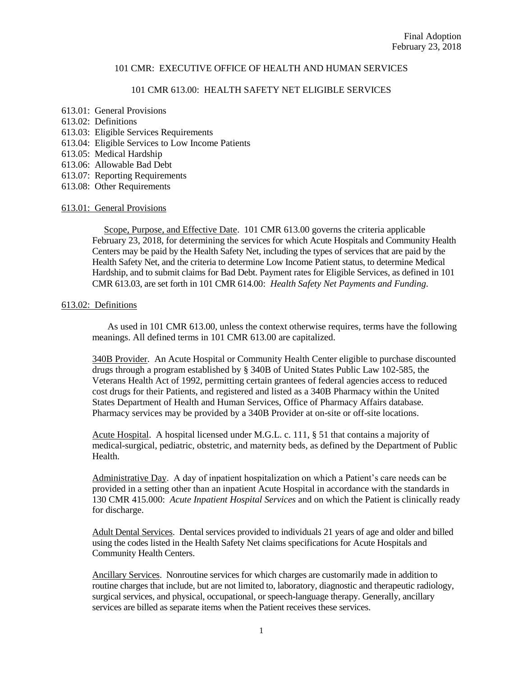### 101 CMR 613.00: HEALTH SAFETY NET ELIGIBLE SERVICES

- 613.01: General Provisions
- 613.02: Definitions
- 613.03: Eligible Services Requirements
- 613.04: Eligible Services to Low Income Patients
- 613.05: Medical Hardship
- 613.06: Allowable Bad Debt
- 613.07: Reporting Requirements
- 613.08: Other Requirements

### 613.01: General Provisions

 Scope, Purpose, and Effective Date. 101 CMR 613.00 governs the criteria applicable February 23, 2018, for determining the services for which Acute Hospitals and Community Health Centers may be paid by the Health Safety Net, including the types of services that are paid by the Health Safety Net, and the criteria to determine Low Income Patient status, to determine Medical Hardship, and to submit claims for Bad Debt. Payment rates for Eligible Services, as defined in 101 CMR 613.03, are set forth in 101 CMR 614.00: *Health Safety Net Payments and Funding*.

#### 613.02: Definitions

As used in 101 CMR 613.00, unless the context otherwise requires, terms have the following meanings. All defined terms in 101 CMR 613.00 are capitalized.

340B Provider. An Acute Hospital or Community Health Center eligible to purchase discounted drugs through a program established by § 340B of United States Public Law 102-585, the Veterans Health Act of 1992, permitting certain grantees of federal agencies access to reduced cost drugs for their Patients, and registered and listed as a 340B Pharmacy within the United States Department of Health and Human Services, Office of Pharmacy Affairs database. Pharmacy services may be provided by a 340B Provider at on-site or off-site locations.

Acute Hospital. A hospital licensed under M.G.L. c. 111, § 51 that contains a majority of medical-surgical, pediatric, obstetric, and maternity beds, as defined by the Department of Public Health.

Administrative Day. A day of inpatient hospitalization on which a Patient's care needs can be provided in a setting other than an inpatient Acute Hospital in accordance with the standards in 130 CMR 415.000: *Acute Inpatient Hospital Services* and on which the Patient is clinically ready for discharge.

Adult Dental Services. Dental services provided to individuals 21 years of age and older and billed using the codes listed in the Health Safety Net claims specifications for Acute Hospitals and Community Health Centers.

Ancillary Services. Nonroutine services for which charges are customarily made in addition to routine charges that include, but are not limited to, laboratory, diagnostic and therapeutic radiology, surgical services, and physical, occupational, or speech-language therapy. Generally, ancillary services are billed as separate items when the Patient receives these services.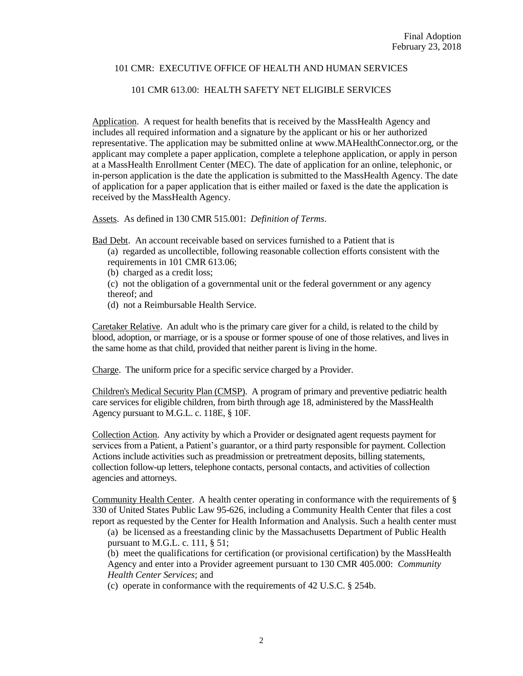## 101 CMR 613.00: HEALTH SAFETY NET ELIGIBLE SERVICES

Application. A request for health benefits that is received by the MassHealth Agency and includes all required information and a signature by the applicant or his or her authorized representative. The application may be submitted online at www.MAHealthConnector.org, or the applicant may complete a paper application, complete a telephone application, or apply in person at a MassHealth Enrollment Center (MEC). The date of application for an online, telephonic, or in-person application is the date the application is submitted to the MassHealth Agency. The date of application for a paper application that is either mailed or faxed is the date the application is received by the MassHealth Agency.

Assets. As defined in 130 CMR 515.001: *Definition of Terms*.

Bad Debt. An account receivable based on services furnished to a Patient that is

- (a) regarded as uncollectible, following reasonable collection efforts consistent with the requirements in 101 CMR 613.06;
- (b) charged as a credit loss;
- (c) not the obligation of a governmental unit or the federal government or any agency thereof; and
- (d) not a Reimbursable Health Service.

Caretaker Relative. An adult who is the primary care giver for a child, is related to the child by blood, adoption, or marriage, or is a spouse or former spouse of one of those relatives, and lives in the same home as that child, provided that neither parent is living in the home.

Charge. The uniform price for a specific service charged by a Provider.

Children's Medical Security Plan (CMSP). A program of primary and preventive pediatric health care services for eligible children, from birth through age 18, administered by the MassHealth Agency pursuant to M.G.L. c. 118E, § 10F.

Collection Action. Any activity by which a Provider or designated agent requests payment for services from a Patient, a Patient's guarantor, or a third party responsible for payment. Collection Actions include activities such as preadmission or pretreatment deposits, billing statements, collection follow-up letters, telephone contacts, personal contacts, and activities of collection agencies and attorneys.

Community Health Center. A health center operating in conformance with the requirements of § 330 of United States Public Law 95-626, including a Community Health Center that files a cost report as requested by the Center for Health Information and Analysis. Such a health center must

(a) be licensed as a freestanding clinic by the Massachusetts Department of Public Health pursuant to M.G.L. c. 111, § 51;

(b) meet the qualifications for certification (or provisional certification) by the MassHealth Agency and enter into a Provider agreement pursuant to 130 CMR 405.000: *Community Health Center Services*; and

(c) operate in conformance with the requirements of 42 U.S.C. § 254b.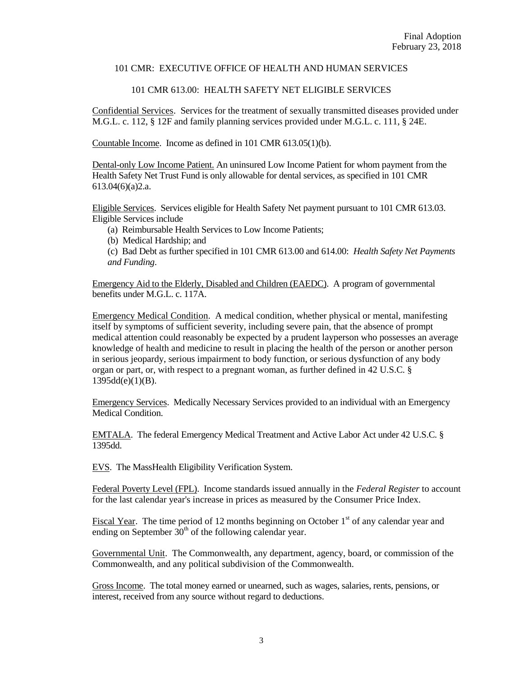# 101 CMR 613.00: HEALTH SAFETY NET ELIGIBLE SERVICES

Confidential Services. Services for the treatment of sexually transmitted diseases provided under M.G.L. c. 112, § 12F and family planning services provided under M.G.L. c. 111, § 24E.

Countable Income. Income as defined in 101 CMR 613.05(1)(b).

Dental-only Low Income Patient. An uninsured Low Income Patient for whom payment from the Health Safety Net Trust Fund is only allowable for dental services, as specified in 101 CMR 613.04(6)(a)2.a.

Eligible Services. Services eligible for Health Safety Net payment pursuant to 101 CMR 613.03. Eligible Services include

(a) Reimbursable Health Services to Low Income Patients;

(b) Medical Hardship; and

(c) Bad Debt as further specified in 101 CMR 613.00 and 614.00: *Health Safety Net Payments and Funding*.

Emergency Aid to the Elderly, Disabled and Children (EAEDC). A program of governmental benefits under M.G.L. c. 117A.

Emergency Medical Condition. A medical condition, whether physical or mental, manifesting itself by symptoms of sufficient severity, including severe pain, that the absence of prompt medical attention could reasonably be expected by a prudent layperson who possesses an average knowledge of health and medicine to result in placing the health of the person or another person in serious jeopardy, serious impairment to body function, or serious dysfunction of any body organ or part, or, with respect to a pregnant woman, as further defined in 42 U.S.C. §  $1395d(d(e)(1)(B)).$ 

Emergency Services. Medically Necessary Services provided to an individual with an Emergency Medical Condition.

EMTALA. The federal Emergency Medical Treatment and Active Labor Act under 42 U.S.C. § 1395dd.

EVS. The MassHealth Eligibility Verification System.

Federal Poverty Level (FPL). Income standards issued annually in the *Federal Register* to account for the last calendar year's increase in prices as measured by the Consumer Price Index.

Fiscal Year. The time period of 12 months beginning on October  $1<sup>st</sup>$  of any calendar year and ending on September  $30<sup>th</sup>$  of the following calendar year.

Governmental Unit. The Commonwealth, any department, agency, board, or commission of the Commonwealth, and any political subdivision of the Commonwealth.

Gross Income. The total money earned or unearned, such as wages, salaries, rents, pensions, or interest, received from any source without regard to deductions.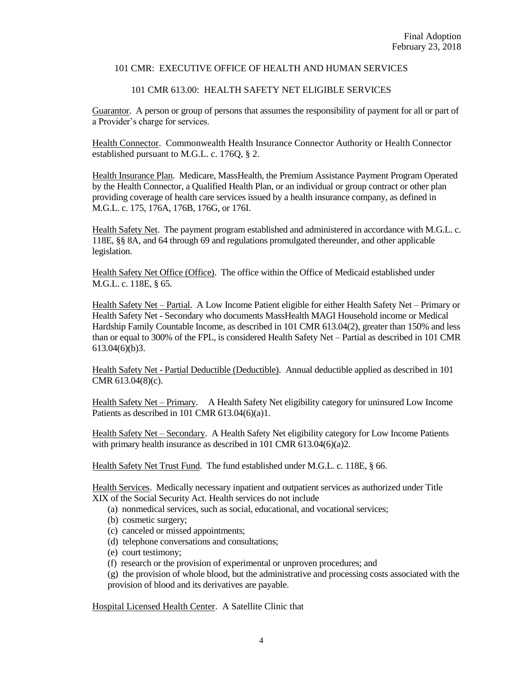## 101 CMR 613.00: HEALTH SAFETY NET ELIGIBLE SERVICES

Guarantor. A person or group of persons that assumes the responsibility of payment for all or part of a Provider's charge for services.

Health Connector. Commonwealth Health Insurance Connector Authority or Health Connector established pursuant to M.G.L. c. 176Q, § 2.

Health Insurance Plan. Medicare, MassHealth, the Premium Assistance Payment Program Operated by the Health Connector, a Qualified Health Plan, or an individual or group contract or other plan providing coverage of health care services issued by a health insurance company, as defined in M.G.L. c. 175, 176A, 176B, 176G, or 176I.

Health Safety Net. The payment program established and administered in accordance with M.G.L. c. 118E, §§ 8A, and 64 through 69 and regulations promulgated thereunder, and other applicable legislation.

Health Safety Net Office (Office). The office within the Office of Medicaid established under M.G.L. c. 118E, § 65.

Health Safety Net – Partial. A Low Income Patient eligible for either Health Safety Net – Primary or Health Safety Net - Secondary who documents MassHealth MAGI Household income or Medical Hardship Family Countable Income, as described in 101 CMR 613.04(2), greater than 150% and less than or equal to 300% of the FPL, is considered Health Safety Net – Partial as described in 101 CMR 613.04(6)(b)3.

Health Safety Net - Partial Deductible (Deductible). Annual deductible applied as described in 101 CMR 613.04(8)(c).

Health Safety Net – Primary. A Health Safety Net eligibility category for uninsured Low Income Patients as described in 101 CMR 613.04(6)(a)1.

Health Safety Net – Secondary. A Health Safety Net eligibility category for Low Income Patients with primary health insurance as described in 101 CMR 613.04(6)(a)2.

Health Safety Net Trust Fund. The fund established under M.G.L. c. 118E, § 66.

Health Services. Medically necessary inpatient and outpatient services as authorized under Title XIX of the Social Security Act. Health services do not include

- (a) nonmedical services, such as social, educational, and vocational services;
- (b) cosmetic surgery;
- (c) canceled or missed appointments;
- (d) telephone conversations and consultations;
- (e) court testimony;
- (f) research or the provision of experimental or unproven procedures; and

(g) the provision of whole blood, but the administrative and processing costs associated with the provision of blood and its derivatives are payable.

Hospital Licensed Health Center. A Satellite Clinic that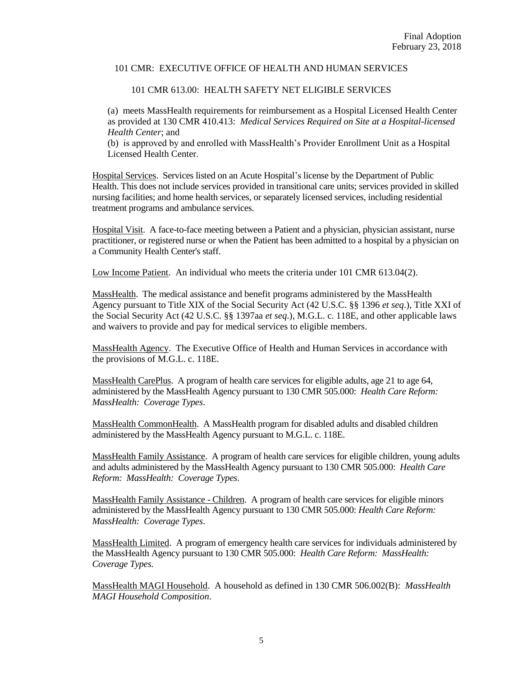## 101 CMR 613.00: HEALTH SAFETY NET ELIGIBLE SERVICES

(a) meets MassHealth requirements for reimbursement as a Hospital Licensed Health Center as provided at 130 CMR 410.413: *Medical Services Required on Site at a Hospital-licensed Health Center*; and

(b) is approved by and enrolled with MassHealth's Provider Enrollment Unit as a Hospital Licensed Health Center.

Hospital Services. Services listed on an Acute Hospital's license by the Department of Public Health. This does not include services provided in transitional care units; services provided in skilled nursing facilities; and home health services, or separately licensed services, including residential treatment programs and ambulance services.

Hospital Visit. A face-to-face meeting between a Patient and a physician, physician assistant, nurse practitioner, or registered nurse or when the Patient has been admitted to a hospital by a physician on a Community Health Center's staff.

Low Income Patient. An individual who meets the criteria under 101 CMR 613.04(2).

MassHealth. The medical assistance and benefit programs administered by the MassHealth Agency pursuant to Title XIX of the Social Security Act (42 U.S.C. §§ 1396 *et seq*.), Title XXI of the Social Security Act (42 U.S.C. §§ 1397aa *et seq*.), M.G.L. c. 118E, and other applicable laws and waivers to provide and pay for medical services to eligible members.

MassHealth Agency. The Executive Office of Health and Human Services in accordance with the provisions of M.G.L. c. 118E.

MassHealth CarePlus. A program of health care services for eligible adults, age 21 to age 64, administered by the MassHealth Agency pursuant to 130 CMR 505.000: *Health Care Reform: MassHealth: Coverage Types*.

MassHealth CommonHealth. A MassHealth program for disabled adults and disabled children administered by the MassHealth Agency pursuant to M.G.L. c. 118E.

MassHealth Family Assistance. A program of health care services for eligible children, young adults and adults administered by the MassHealth Agency pursuant to 130 CMR 505.000: *Health Care Reform: MassHealth: Coverage Types*.

MassHealth Family Assistance - Children. A program of health care services for eligible minors administered by the MassHealth Agency pursuant to 130 CMR 505.000: *Health Care Reform: MassHealth: Coverage Types*.

MassHealth Limited. A program of emergency health care services for individuals administered by the MassHealth Agency pursuant to 130 CMR 505.000: *Health Care Reform: MassHealth: Coverage Types*.

MassHealth MAGI Household. A household as defined in 130 CMR 506.002(B): *MassHealth MAGI Household Composition*.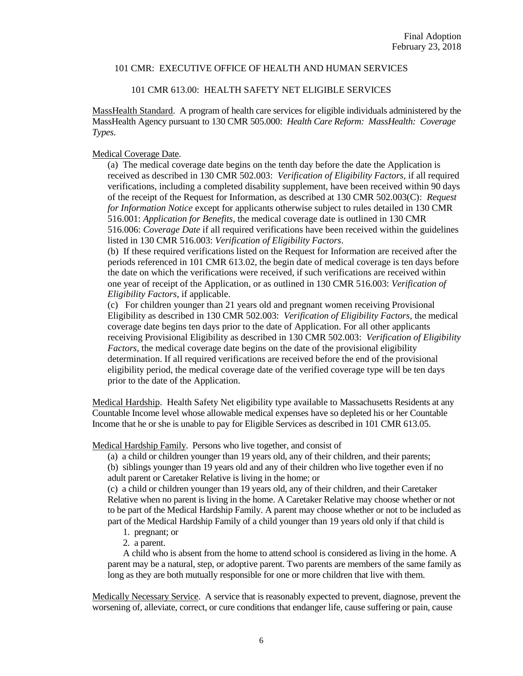## 101 CMR 613.00: HEALTH SAFETY NET ELIGIBLE SERVICES

MassHealth Standard. A program of health care services for eligible individuals administered by the MassHealth Agency pursuant to 130 CMR 505.000: *Health Care Reform: MassHealth: Coverage Types*.

## Medical Coverage Date.

(a) The medical coverage date begins on the tenth day before the date the Application is received as described in 130 CMR 502.003: *Verification of Eligibility Factors*, if all required verifications, including a completed disability supplement, have been received within 90 days of the receipt of the Request for Information, as described at 130 CMR 502.003(C): *Request for Information Notice* except for applicants otherwise subject to rules detailed in 130 CMR 516.001: *Application for Benefits,* the medical coverage date is outlined in 130 CMR 516.006: *Coverage Date* if all required verifications have been received within the guidelines listed in 130 CMR 516.003: *Verification of Eligibility Factors*.

(b) If these required verifications listed on the Request for Information are received after the periods referenced in 101 CMR 613.02, the begin date of medical coverage is ten days before the date on which the verifications were received, if such verifications are received within one year of receipt of the Application, or as outlined in 130 CMR 516.003: *Verification of Eligibility Factors*, if applicable.

(c) For children younger than 21 years old and pregnant women receiving Provisional Eligibility as described in 130 CMR 502.003: *Verification of Eligibility Factors*, the medical coverage date begins ten days prior to the date of Application. For all other applicants receiving Provisional Eligibility as described in 130 CMR 502.003: *Verification of Eligibility Factors*, the medical coverage date begins on the date of the provisional eligibility determination. If all required verifications are received before the end of the provisional eligibility period, the medical coverage date of the verified coverage type will be ten days prior to the date of the Application.

Medical Hardship. Health Safety Net eligibility type available to Massachusetts Residents at any Countable Income level whose allowable medical expenses have so depleted his or her Countable Income that he or she is unable to pay for Eligible Services as described in 101 CMR 613.05.

Medical Hardship Family. Persons who live together, and consist of

(a) a child or children younger than 19 years old, any of their children, and their parents;

(b) siblings younger than 19 years old and any of their children who live together even if no adult parent or Caretaker Relative is living in the home; or

(c) a child or children younger than 19 years old, any of their children, and their Caretaker Relative when no parent is living in the home. A Caretaker Relative may choose whether or not to be part of the Medical Hardship Family. A parent may choose whether or not to be included as part of the Medical Hardship Family of a child younger than 19 years old only if that child is

- 1. pregnant; or
- 2. a parent.

A child who is absent from the home to attend school is considered as living in the home. A parent may be a natural, step, or adoptive parent. Two parents are members of the same family as long as they are both mutually responsible for one or more children that live with them.

Medically Necessary Service. A service that is reasonably expected to prevent, diagnose, prevent the worsening of, alleviate, correct, or cure conditions that endanger life, cause suffering or pain, cause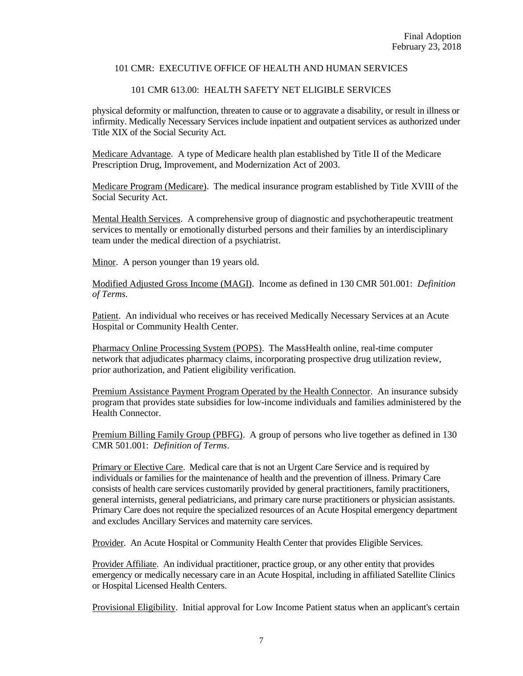# 101 CMR 613.00: HEALTH SAFETY NET ELIGIBLE SERVICES

physical deformity or malfunction, threaten to cause or to aggravate a disability, or result in illness or infirmity. Medically Necessary Services include inpatient and outpatient services as authorized under Title XIX of the Social Security Act.

Medicare Advantage. A type of Medicare health plan established by Title II of the Medicare Prescription Drug, Improvement, and Modernization Act of 2003.

Medicare Program (Medicare). The medical insurance program established by Title XVIII of the Social Security Act.

Mental Health Services. A comprehensive group of diagnostic and psychotherapeutic treatment services to mentally or emotionally disturbed persons and their families by an interdisciplinary team under the medical direction of a psychiatrist.

Minor. A person younger than 19 years old.

Modified Adjusted Gross Income (MAGI). Income as defined in 130 CMR 501.001: *Definition of Terms*.

Patient. An individual who receives or has received Medically Necessary Services at an Acute Hospital or Community Health Center.

Pharmacy Online Processing System (POPS). The MassHealth online, real-time computer network that adjudicates pharmacy claims, incorporating prospective drug utilization review, prior authorization, and Patient eligibility verification.

Premium Assistance Payment Program Operated by the Health Connector. An insurance subsidy program that provides state subsidies for low-income individuals and families administered by the Health Connector.

Premium Billing Family Group (PBFG). A group of persons who live together as defined in 130 CMR 501.001: *Definition of Terms*.

Primary or Elective Care. Medical care that is not an Urgent Care Service and is required by individuals or families for the maintenance of health and the prevention of illness. Primary Care consists of health care services customarily provided by general practitioners, family practitioners, general internists, general pediatricians, and primary care nurse practitioners or physician assistants. Primary Care does not require the specialized resources of an Acute Hospital emergency department and excludes Ancillary Services and maternity care services.

Provider. An Acute Hospital or Community Health Center that provides Eligible Services.

Provider Affiliate. An individual practitioner, practice group, or any other entity that provides emergency or medically necessary care in an Acute Hospital, including in affiliated Satellite Clinics or Hospital Licensed Health Centers.

Provisional Eligibility. Initial approval for Low Income Patient status when an applicant's certain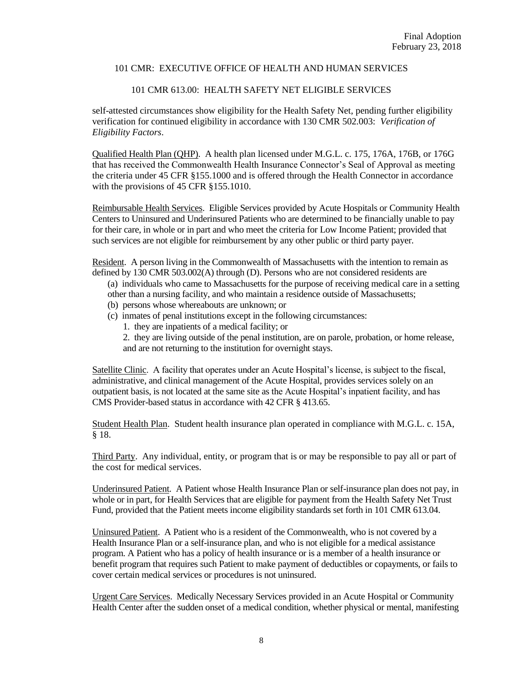# 101 CMR 613.00: HEALTH SAFETY NET ELIGIBLE SERVICES

self-attested circumstances show eligibility for the Health Safety Net, pending further eligibility verification for continued eligibility in accordance with 130 CMR 502.003: *Verification of Eligibility Factors*.

Qualified Health Plan (QHP). A health plan licensed under M.G.L. c. 175, 176A, 176B, or 176G that has received the Commonwealth Health Insurance Connector's Seal of Approval as meeting the criteria under 45 CFR §155.1000 and is offered through the Health Connector in accordance with the provisions of 45 CFR §155.1010.

Reimbursable Health Services. Eligible Services provided by Acute Hospitals or Community Health Centers to Uninsured and Underinsured Patients who are determined to be financially unable to pay for their care, in whole or in part and who meet the criteria for Low Income Patient; provided that such services are not eligible for reimbursement by any other public or third party payer.

Resident. A person living in the Commonwealth of Massachusetts with the intention to remain as defined by 130 CMR 503.002(A) through (D). Persons who are not considered residents are

- (a) individuals who came to Massachusetts for the purpose of receiving medical care in a setting
- other than a nursing facility, and who maintain a residence outside of Massachusetts;
- (b) persons whose whereabouts are unknown; or
- (c) inmates of penal institutions except in the following circumstances:
	- 1. they are inpatients of a medical facility; or
	- 2. they are living outside of the penal institution, are on parole, probation, or home release, and are not returning to the institution for overnight stays.

Satellite Clinic. A facility that operates under an Acute Hospital's license, is subject to the fiscal, administrative, and clinical management of the Acute Hospital, provides services solely on an outpatient basis, is not located at the same site as the Acute Hospital's inpatient facility, and has CMS Provider-based status in accordance with 42 CFR § 413.65.

Student Health Plan. Student health insurance plan operated in compliance with M.G.L. c. 15A, § 18.

Third Party. Any individual, entity, or program that is or may be responsible to pay all or part of the cost for medical services.

Underinsured Patient. A Patient whose Health Insurance Plan or self-insurance plan does not pay, in whole or in part, for Health Services that are eligible for payment from the Health Safety Net Trust Fund, provided that the Patient meets income eligibility standards set forth in 101 CMR 613.04.

Uninsured Patient. A Patient who is a resident of the Commonwealth, who is not covered by a Health Insurance Plan or a self-insurance plan, and who is not eligible for a medical assistance program. A Patient who has a policy of health insurance or is a member of a health insurance or benefit program that requires such Patient to make payment of deductibles or copayments, or fails to cover certain medical services or procedures is not uninsured.

Urgent Care Services. Medically Necessary Services provided in an Acute Hospital or Community Health Center after the sudden onset of a medical condition, whether physical or mental, manifesting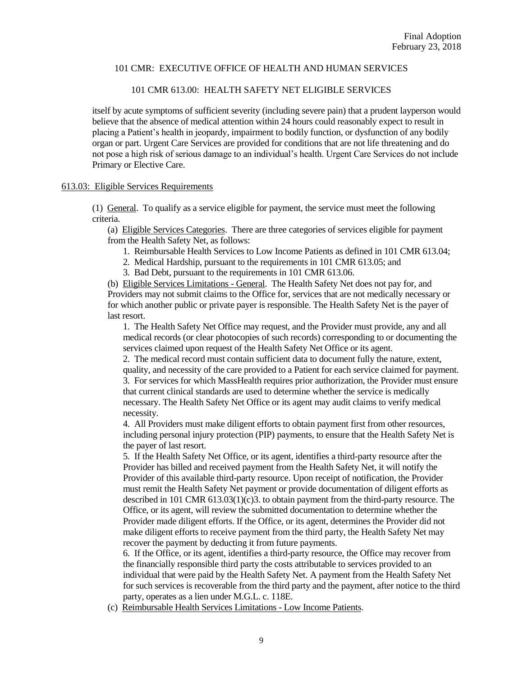# 101 CMR 613.00: HEALTH SAFETY NET ELIGIBLE SERVICES

itself by acute symptoms of sufficient severity (including severe pain) that a prudent layperson would believe that the absence of medical attention within 24 hours could reasonably expect to result in placing a Patient's health in jeopardy, impairment to bodily function, or dysfunction of any bodily organ or part. Urgent Care Services are provided for conditions that are not life threatening and do not pose a high risk of serious damage to an individual's health. Urgent Care Services do not include Primary or Elective Care.

## 613.03: Eligible Services Requirements

(1) General. To qualify as a service eligible for payment, the service must meet the following criteria.

(a) Eligible Services Categories. There are three categories of services eligible for payment from the Health Safety Net, as follows:

- 1. Reimbursable Health Services to Low Income Patients as defined in 101 CMR 613.04;
- 2. Medical Hardship, pursuant to the requirements in 101 CMR 613.05; and

3. Bad Debt, pursuant to the requirements in 101 CMR 613.06.

(b) Eligible Services Limitations - General. The Health Safety Net does not pay for, and Providers may not submit claims to the Office for, services that are not medically necessary or for which another public or private payer is responsible. The Health Safety Net is the payer of last resort.

1. The Health Safety Net Office may request, and the Provider must provide, any and all medical records (or clear photocopies of such records) corresponding to or documenting the services claimed upon request of the Health Safety Net Office or its agent.

2. The medical record must contain sufficient data to document fully the nature, extent, quality, and necessity of the care provided to a Patient for each service claimed for payment. 3. For services for which MassHealth requires prior authorization, the Provider must ensure that current clinical standards are used to determine whether the service is medically necessary. The Health Safety Net Office or its agent may audit claims to verify medical necessity.

4. All Providers must make diligent efforts to obtain payment first from other resources, including personal injury protection (PIP) payments, to ensure that the Health Safety Net is the payer of last resort.

5. If the Health Safety Net Office, or its agent, identifies a third-party resource after the Provider has billed and received payment from the Health Safety Net, it will notify the Provider of this available third-party resource. Upon receipt of notification, the Provider must remit the Health Safety Net payment or provide documentation of diligent efforts as described in 101 CMR 613.03(1)(c)3. to obtain payment from the third-party resource. The Office, or its agent, will review the submitted documentation to determine whether the Provider made diligent efforts. If the Office, or its agent, determines the Provider did not make diligent efforts to receive payment from the third party, the Health Safety Net may recover the payment by deducting it from future payments.

6. If the Office, or its agent, identifies a third-party resource, the Office may recover from the financially responsible third party the costs attributable to services provided to an individual that were paid by the Health Safety Net. A payment from the Health Safety Net for such services is recoverable from the third party and the payment, after notice to the third party, operates as a lien under M.G.L. c. 118E.

(c) Reimbursable Health Services Limitations - Low Income Patients.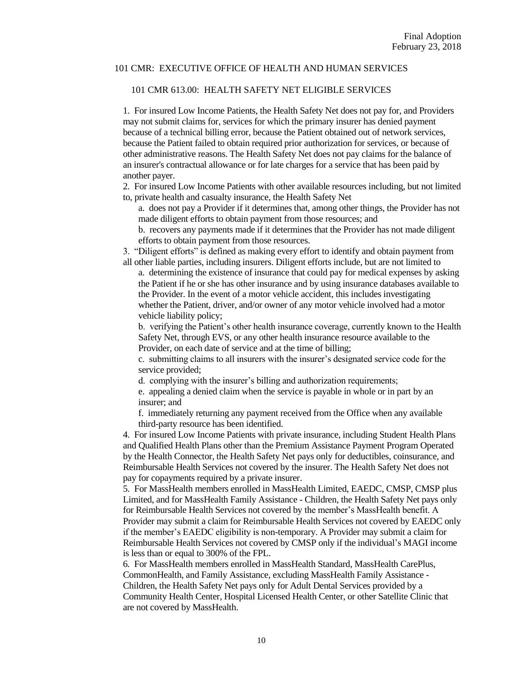#### 101 CMR 613.00: HEALTH SAFETY NET ELIGIBLE SERVICES

1. For insured Low Income Patients, the Health Safety Net does not pay for, and Providers may not submit claims for, services for which the primary insurer has denied payment because of a technical billing error, because the Patient obtained out of network services, because the Patient failed to obtain required prior authorization for services, or because of other administrative reasons. The Health Safety Net does not pay claims for the balance of an insurer's contractual allowance or for late charges for a service that has been paid by another payer.

2. For insured Low Income Patients with other available resources including, but not limited to, private health and casualty insurance, the Health Safety Net

a. does not pay a Provider if it determines that, among other things, the Provider has not made diligent efforts to obtain payment from those resources; and

b. recovers any payments made if it determines that the Provider has not made diligent efforts to obtain payment from those resources.

3. "Diligent efforts" is defined as making every effort to identify and obtain payment from all other liable parties, including insurers. Diligent efforts include, but are not limited to

a. determining the existence of insurance that could pay for medical expenses by asking the Patient if he or she has other insurance and by using insurance databases available to the Provider. In the event of a motor vehicle accident, this includes investigating whether the Patient, driver, and/or owner of any motor vehicle involved had a motor vehicle liability policy;

b. verifying the Patient's other health insurance coverage, currently known to the Health Safety Net, through EVS, or any other health insurance resource available to the Provider, on each date of service and at the time of billing;

c. submitting claims to all insurers with the insurer's designated service code for the service provided;

d. complying with the insurer's billing and authorization requirements;

e. appealing a denied claim when the service is payable in whole or in part by an insurer; and

f. immediately returning any payment received from the Office when any available third-party resource has been identified.

4. For insured Low Income Patients with private insurance, including Student Health Plans and Qualified Health Plans other than the Premium Assistance Payment Program Operated by the Health Connector, the Health Safety Net pays only for deductibles, coinsurance, and Reimbursable Health Services not covered by the insurer. The Health Safety Net does not pay for copayments required by a private insurer.

5. For MassHealth members enrolled in MassHealth Limited, EAEDC, CMSP, CMSP plus Limited, and for MassHealth Family Assistance - Children, the Health Safety Net pays only for Reimbursable Health Services not covered by the member's MassHealth benefit. A Provider may submit a claim for Reimbursable Health Services not covered by EAEDC only if the member's EAEDC eligibility is non-temporary. A Provider may submit a claim for Reimbursable Health Services not covered by CMSP only if the individual's MAGI income is less than or equal to 300% of the FPL.

6. For MassHealth members enrolled in MassHealth Standard, MassHealth CarePlus, CommonHealth, and Family Assistance, excluding MassHealth Family Assistance - Children, the Health Safety Net pays only for Adult Dental Services provided by a Community Health Center, Hospital Licensed Health Center, or other Satellite Clinic that are not covered by MassHealth.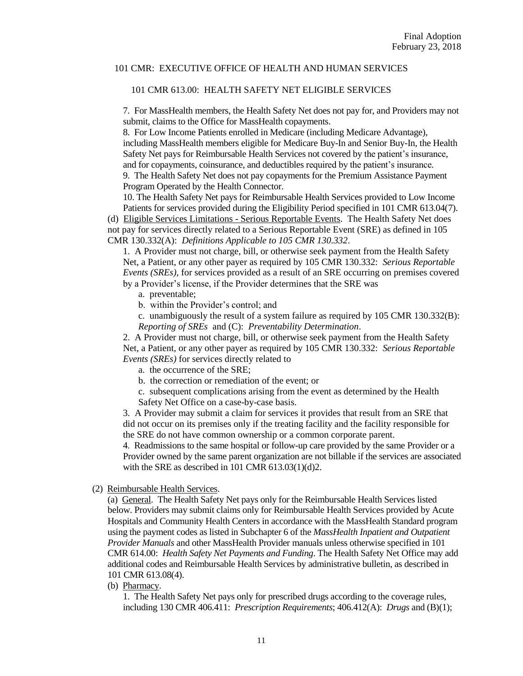#### 101 CMR 613.00: HEALTH SAFETY NET ELIGIBLE SERVICES

7. For MassHealth members, the Health Safety Net does not pay for, and Providers may not submit, claims to the Office for MassHealth copayments.

8. For Low Income Patients enrolled in Medicare (including Medicare Advantage), including MassHealth members eligible for Medicare Buy-In and Senior Buy-In, the Health Safety Net pays for Reimbursable Health Services not covered by the patient's insurance, and for copayments, coinsurance, and deductibles required by the patient's insurance.

9. The Health Safety Net does not pay copayments for the Premium Assistance Payment Program Operated by the Health Connector.

10. The Health Safety Net pays for Reimbursable Health Services provided to Low Income Patients for services provided during the Eligibility Period specified in 101 CMR 613.04(7).

(d) Eligible Services Limitations - Serious Reportable Events. The Health Safety Net does not pay for services directly related to a Serious Reportable Event (SRE) as defined in 105 CMR 130.332(A): *Definitions Applicable to 105 CMR 130.332*.

1. A Provider must not charge, bill, or otherwise seek payment from the Health Safety Net, a Patient, or any other payer as required by 105 CMR 130.332: *Serious Reportable Events (SREs)*, for services provided as a result of an SRE occurring on premises covered by a Provider's license, if the Provider determines that the SRE was

a. preventable;

- b. within the Provider's control; and
- c. unambiguously the result of a system failure as required by 105 CMR 130.332(B): *Reporting of SREs* and (C): *Preventability Determination*.

2. A Provider must not charge, bill, or otherwise seek payment from the Health Safety Net, a Patient, or any other payer as required by 105 CMR 130.332: *Serious Reportable Events (SREs)* for services directly related to

- a. the occurrence of the SRE;
- b. the correction or remediation of the event; or
- c. subsequent complications arising from the event as determined by the Health Safety Net Office on a case-by-case basis.

3. A Provider may submit a claim for services it provides that result from an SRE that did not occur on its premises only if the treating facility and the facility responsible for the SRE do not have common ownership or a common corporate parent.

4. Readmissions to the same hospital or follow-up care provided by the same Provider or a Provider owned by the same parent organization are not billable if the services are associated with the SRE as described in 101 CMR 613.03(1)(d)2.

### (2) Reimbursable Health Services.

(a) General. The Health Safety Net pays only for the Reimbursable Health Services listed below. Providers may submit claims only for Reimbursable Health Services provided by Acute Hospitals and Community Health Centers in accordance with the MassHealth Standard program using the payment codes as listed in Subchapter 6 of the *MassHealth Inpatient and Outpatient Provider Manuals* and other MassHealth Provider manuals unless otherwise specified in 101 CMR 614.00: *Health Safety Net Payments and Funding*. The Health Safety Net Office may add additional codes and Reimbursable Health Services by administrative bulletin, as described in 101 CMR 613.08(4).

(b) Pharmacy.

1. The Health Safety Net pays only for prescribed drugs according to the coverage rules, including 130 CMR 406.411: *Prescription Requirements*; 406.412(A): *Drugs* and (B)(1);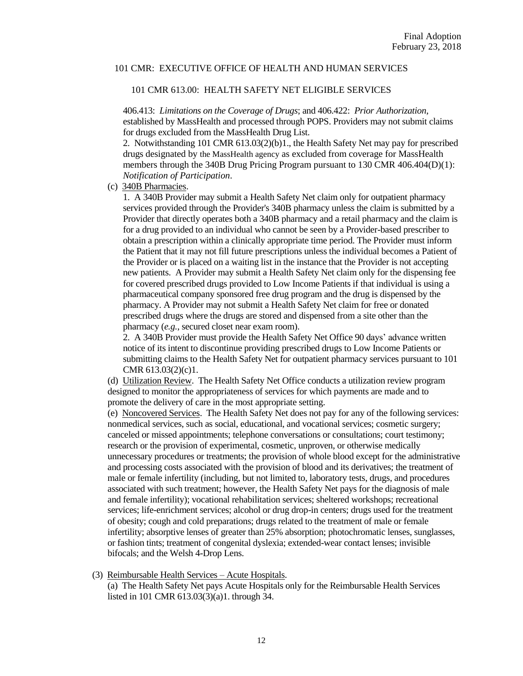#### 101 CMR 613.00: HEALTH SAFETY NET ELIGIBLE SERVICES

406.413: *Limitations on the Coverage of Drugs*; and 406.422: *Prior Authorization*, established by MassHealth and processed through POPS. Providers may not submit claims for drugs excluded from the MassHealth Drug List.

2. Notwithstanding 101 CMR 613.03(2)(b)1., the Health Safety Net may pay for prescribed drugs designated by the MassHealth agency as excluded from coverage for MassHealth members through the 340B Drug Pricing Program pursuant to 130 CMR 406.404(D)(1): *Notification of Participation*.

(c) 340B Pharmacies.

1. A 340B Provider may submit a Health Safety Net claim only for outpatient pharmacy services provided through the Provider's 340B pharmacy unless the claim is submitted by a Provider that directly operates both a 340B pharmacy and a retail pharmacy and the claim is for a drug provided to an individual who cannot be seen by a Provider-based prescriber to obtain a prescription within a clinically appropriate time period. The Provider must inform the Patient that it may not fill future prescriptions unless the individual becomes a Patient of the Provider or is placed on a waiting list in the instance that the Provider is not accepting new patients. A Provider may submit a Health Safety Net claim only for the dispensing fee for covered prescribed drugs provided to Low Income Patients if that individual is using a pharmaceutical company sponsored free drug program and the drug is dispensed by the pharmacy. A Provider may not submit a Health Safety Net claim for free or donated prescribed drugs where the drugs are stored and dispensed from a site other than the pharmacy (*e.g.*, secured closet near exam room).

2. A 340B Provider must provide the Health Safety Net Office 90 days' advance written notice of its intent to discontinue providing prescribed drugs to Low Income Patients or submitting claims to the Health Safety Net for outpatient pharmacy services pursuant to 101 CMR 613.03(2)(c)1.

(d) Utilization Review. The Health Safety Net Office conducts a utilization review program designed to monitor the appropriateness of services for which payments are made and to promote the delivery of care in the most appropriate setting.

(e) Noncovered Services. The Health Safety Net does not pay for any of the following services: nonmedical services, such as social, educational, and vocational services; cosmetic surgery; canceled or missed appointments; telephone conversations or consultations; court testimony; research or the provision of experimental, cosmetic, unproven, or otherwise medically unnecessary procedures or treatments; the provision of whole blood except for the administrative and processing costs associated with the provision of blood and its derivatives; the treatment of male or female infertility (including, but not limited to, laboratory tests, drugs, and procedures associated with such treatment; however, the Health Safety Net pays for the diagnosis of male and female infertility); vocational rehabilitation services; sheltered workshops; recreational services; life-enrichment services; alcohol or drug drop-in centers; drugs used for the treatment of obesity; cough and cold preparations; drugs related to the treatment of male or female infertility; absorptive lenses of greater than 25% absorption; photochromatic lenses, sunglasses, or fashion tints; treatment of congenital dyslexia; extended-wear contact lenses; invisible bifocals; and the Welsh 4-Drop Lens.

(3) Reimbursable Health Services – Acute Hospitals.

(a) The Health Safety Net pays Acute Hospitals only for the Reimbursable Health Services listed in 101 CMR 613.03(3)(a)1. through 34.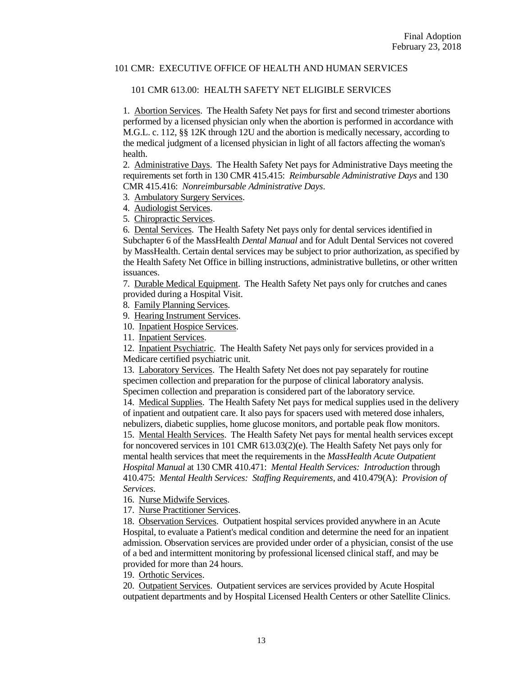#### 101 CMR 613.00: HEALTH SAFETY NET ELIGIBLE SERVICES

1. Abortion Services. The Health Safety Net pays for first and second trimester abortions performed by a licensed physician only when the abortion is performed in accordance with M.G.L. c. 112, §§ 12K through 12U and the abortion is medically necessary, according to the medical judgment of a licensed physician in light of all factors affecting the woman's health.

2. Administrative Days. The Health Safety Net pays for Administrative Days meeting the requirements set forth in 130 CMR 415.415: *Reimbursable Administrative Days* and 130 CMR 415.416: *Nonreimbursable Administrative Days*.

- 3. Ambulatory Surgery Services.
- 4. Audiologist Services.

5. Chiropractic Services.

6. Dental Services. The Health Safety Net pays only for dental services identified in Subchapter 6 of the MassHealth *Dental Manual* and for Adult Dental Services not covered by MassHealth. Certain dental services may be subject to prior authorization, as specified by the Health Safety Net Office in billing instructions, administrative bulletins, or other written issuances.

7. Durable Medical Equipment. The Health Safety Net pays only for crutches and canes provided during a Hospital Visit.

8. Family Planning Services.

9. Hearing Instrument Services.

10. Inpatient Hospice Services.

11. Inpatient Services.

12. Inpatient Psychiatric. The Health Safety Net pays only for services provided in a Medicare certified psychiatric unit.

13. Laboratory Services. The Health Safety Net does not pay separately for routine specimen collection and preparation for the purpose of clinical laboratory analysis. Specimen collection and preparation is considered part of the laboratory service.

14. Medical Supplies. The Health Safety Net pays for medical supplies used in the delivery of inpatient and outpatient care. It also pays for spacers used with metered dose inhalers, nebulizers, diabetic supplies, home glucose monitors, and portable peak flow monitors.

15. Mental Health Services. The Health Safety Net pays for mental health services except for noncovered services in 101 CMR 613.03(2)(e). The Health Safety Net pays only for mental health services that meet the requirements in the *MassHealth Acute Outpatient Hospital Manual* at 130 CMR 410.471: *Mental Health Services: Introduction* through 410.475: *Mental Health Services: Staffing Requirements*, and 410.479(A): *Provision of Services*.

16. Nurse Midwife Services.

17. Nurse Practitioner Services.

18. Observation Services. Outpatient hospital services provided anywhere in an Acute Hospital, to evaluate a Patient's medical condition and determine the need for an inpatient admission. Observation services are provided under order of a physician, consist of the use of a bed and intermittent monitoring by professional licensed clinical staff, and may be provided for more than 24 hours.

19. Orthotic Services.

20. Outpatient Services. Outpatient services are services provided by Acute Hospital outpatient departments and by Hospital Licensed Health Centers or other Satellite Clinics.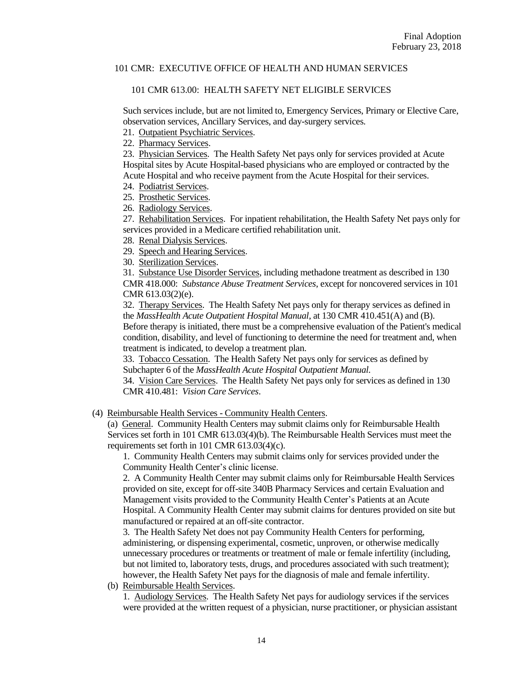#### 101 CMR 613.00: HEALTH SAFETY NET ELIGIBLE SERVICES

Such services include, but are not limited to, Emergency Services, Primary or Elective Care, observation services, Ancillary Services, and day-surgery services.

21. Outpatient Psychiatric Services.

22. Pharmacy Services.

23. Physician Services. The Health Safety Net pays only for services provided at Acute Hospital sites by Acute Hospital-based physicians who are employed or contracted by the Acute Hospital and who receive payment from the Acute Hospital for their services.

- 24. Podiatrist Services.
- 25. Prosthetic Services.
- 26. Radiology Services.

27. Rehabilitation Services. For inpatient rehabilitation, the Health Safety Net pays only for services provided in a Medicare certified rehabilitation unit.

- 28. Renal Dialysis Services.
- 29. Speech and Hearing Services.
- 30. Sterilization Services.

31. Substance Use Disorder Services, including methadone treatment as described in 130 CMR 418.000: *Substance Abuse Treatment Services*, except for noncovered services in 101 CMR 613.03(2)(e).

32. Therapy Services. The Health Safety Net pays only for therapy services as defined in the *MassHealth Acute Outpatient Hospital Manual*, at 130 CMR 410.451(A) and (B). Before therapy is initiated, there must be a comprehensive evaluation of the Patient's medical condition, disability, and level of functioning to determine the need for treatment and, when treatment is indicated, to develop a treatment plan.

33. Tobacco Cessation. The Health Safety Net pays only for services as defined by Subchapter 6 of the *MassHealth Acute Hospital Outpatient Manual.*

34. Vision Care Services. The Health Safety Net pays only for services as defined in 130 CMR 410.481: *Vision Care Services*.

(4) Reimbursable Health Services - Community Health Centers.

(a) General. Community Health Centers may submit claims only for Reimbursable Health Services set forth in 101 CMR 613.03(4)(b). The Reimbursable Health Services must meet the requirements set forth in 101 CMR 613.03(4)(c).

1. Community Health Centers may submit claims only for services provided under the Community Health Center's clinic license.

2. A Community Health Center may submit claims only for Reimbursable Health Services provided on site, except for off-site 340B Pharmacy Services and certain Evaluation and Management visits provided to the Community Health Center's Patients at an Acute Hospital. A Community Health Center may submit claims for dentures provided on site but manufactured or repaired at an off-site contractor.

3. The Health Safety Net does not pay Community Health Centers for performing, administering, or dispensing experimental, cosmetic, unproven, or otherwise medically unnecessary procedures or treatments or treatment of male or female infertility (including, but not limited to, laboratory tests, drugs, and procedures associated with such treatment); however, the Health Safety Net pays for the diagnosis of male and female infertility.

(b) Reimbursable Health Services.

1. Audiology Services. The Health Safety Net pays for audiology services if the services were provided at the written request of a physician, nurse practitioner, or physician assistant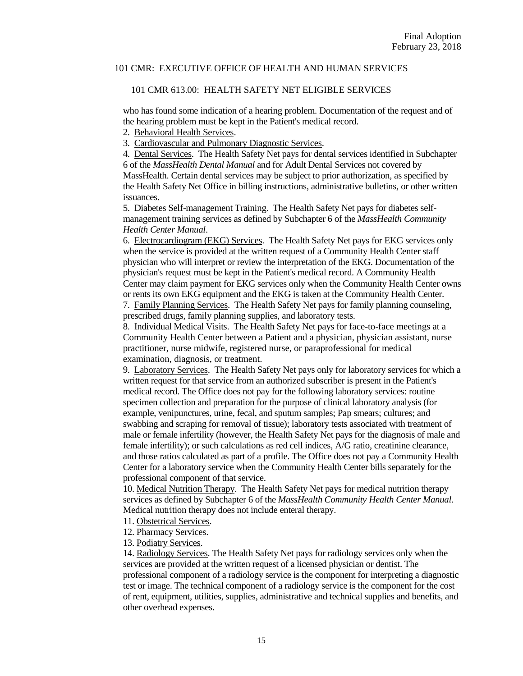#### 101 CMR 613.00: HEALTH SAFETY NET ELIGIBLE SERVICES

who has found some indication of a hearing problem. Documentation of the request and of the hearing problem must be kept in the Patient's medical record.

2. Behavioral Health Services.

3. Cardiovascular and Pulmonary Diagnostic Services.

4. Dental Services. The Health Safety Net pays for dental services identified in Subchapter 6 of the *MassHealth Dental Manual* and for Adult Dental Services not covered by MassHealth. Certain dental services may be subject to prior authorization, as specified by the Health Safety Net Office in billing instructions, administrative bulletins, or other written issuances.

5. Diabetes Self-management Training. The Health Safety Net pays for diabetes selfmanagement training services as defined by Subchapter 6 of the *MassHealth Community Health Center Manual*.

6. Electrocardiogram (EKG) Services. The Health Safety Net pays for EKG services only when the service is provided at the written request of a Community Health Center staff physician who will interpret or review the interpretation of the EKG. Documentation of the physician's request must be kept in the Patient's medical record. A Community Health Center may claim payment for EKG services only when the Community Health Center owns or rents its own EKG equipment and the EKG is taken at the Community Health Center. 7. Family Planning Services. The Health Safety Net pays for family planning counseling,

prescribed drugs, family planning supplies, and laboratory tests.

8. Individual Medical Visits. The Health Safety Net pays for face-to-face meetings at a Community Health Center between a Patient and a physician, physician assistant, nurse practitioner, nurse midwife, registered nurse, or paraprofessional for medical examination, diagnosis, or treatment.

9. Laboratory Services. The Health Safety Net pays only for laboratory services for which a written request for that service from an authorized subscriber is present in the Patient's medical record. The Office does not pay for the following laboratory services: routine specimen collection and preparation for the purpose of clinical laboratory analysis (for example, venipunctures, urine, fecal, and sputum samples; Pap smears; cultures; and swabbing and scraping for removal of tissue); laboratory tests associated with treatment of male or female infertility (however, the Health Safety Net pays for the diagnosis of male and female infertility); or such calculations as red cell indices, A/G ratio, creatinine clearance, and those ratios calculated as part of a profile. The Office does not pay a Community Health Center for a laboratory service when the Community Health Center bills separately for the professional component of that service.

10. Medical Nutrition Therapy. The Health Safety Net pays for medical nutrition therapy services as defined by Subchapter 6 of the *MassHealth Community Health Center Manual*. Medical nutrition therapy does not include enteral therapy.

- 11. Obstetrical Services.
- 12. Pharmacy Services.
- 13. Podiatry Services.

14. Radiology Services. The Health Safety Net pays for radiology services only when the services are provided at the written request of a licensed physician or dentist. The professional component of a radiology service is the component for interpreting a diagnostic test or image. The technical component of a radiology service is the component for the cost of rent, equipment, utilities, supplies, administrative and technical supplies and benefits, and other overhead expenses.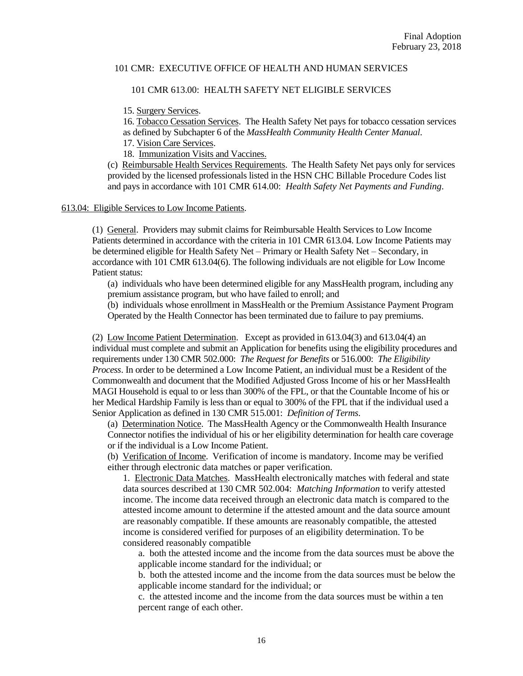#### 101 CMR 613.00: HEALTH SAFETY NET ELIGIBLE SERVICES

15. Surgery Services.

16. Tobacco Cessation Services. The Health Safety Net pays for tobacco cessation services as defined by Subchapter 6 of the *MassHealth Community Health Center Manual*. 17. Vision Care Services.

18. Immunization Visits and Vaccines.

(c) Reimbursable Health Services Requirements. The Health Safety Net pays only for services provided by the licensed professionals listed in the HSN CHC Billable Procedure Codes list and pays in accordance with 101 CMR 614.00: *Health Safety Net Payments and Funding*.

#### 613.04: Eligible Services to Low Income Patients.

(1) General. Providers may submit claims for Reimbursable Health Services to Low Income Patients determined in accordance with the criteria in 101 CMR 613.04. Low Income Patients may be determined eligible for Health Safety Net – Primary or Health Safety Net – Secondary, in accordance with 101 CMR 613.04(6). The following individuals are not eligible for Low Income Patient status:

(a) individuals who have been determined eligible for any MassHealth program, including any premium assistance program, but who have failed to enroll; and

(b) individuals whose enrollment in MassHealth or the Premium Assistance Payment Program Operated by the Health Connector has been terminated due to failure to pay premiums.

(2) Low Income Patient Determination. Except as provided in 613.04(3) and 613.04(4) an individual must complete and submit an Application for benefits using the eligibility procedures and requirements under 130 CMR 502.000: *The Request for Benefits* or 516.000: *The Eligibility Process*. In order to be determined a Low Income Patient, an individual must be a Resident of the Commonwealth and document that the Modified Adjusted Gross Income of his or her MassHealth MAGI Household is equal to or less than 300% of the FPL, or that the Countable Income of his or her Medical Hardship Family is less than or equal to 300% of the FPL that if the individual used a Senior Application as defined in 130 CMR 515.001: *Definition of Terms*.

(a) Determination Notice. The MassHealth Agency or the Commonwealth Health Insurance Connector notifies the individual of his or her eligibility determination for health care coverage or if the individual is a Low Income Patient.

(b) Verification of Income. Verification of income is mandatory. Income may be verified either through electronic data matches or paper verification.

1. Electronic Data Matches. MassHealth electronically matches with federal and state data sources described at 130 CMR 502.004: *Matching Information* to verify attested income. The income data received through an electronic data match is compared to the attested income amount to determine if the attested amount and the data source amount are reasonably compatible. If these amounts are reasonably compatible, the attested income is considered verified for purposes of an eligibility determination. To be considered reasonably compatible

a. both the attested income and the income from the data sources must be above the applicable income standard for the individual; or

b. both the attested income and the income from the data sources must be below the applicable income standard for the individual; or

c. the attested income and the income from the data sources must be within a ten percent range of each other.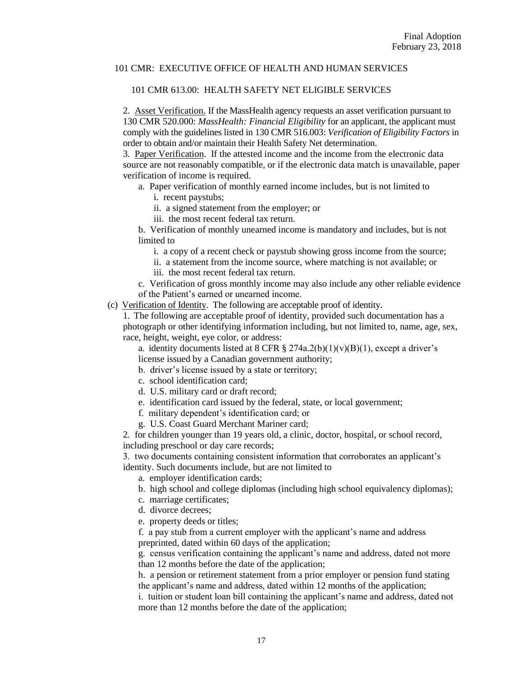#### 101 CMR 613.00: HEALTH SAFETY NET ELIGIBLE SERVICES

2. Asset Verification. If the MassHealth agency requests an asset verification pursuant to 130 CMR 520.000: *MassHealth: Financial Eligibility* for an applicant, the applicant must comply with the guidelines listed in 130 CMR 516.003: *Verification of Eligibility Factors* in order to obtain and/or maintain their Health Safety Net determination.

3. Paper Verification. If the attested income and the income from the electronic data source are not reasonably compatible, or if the electronic data match is unavailable, paper verification of income is required.

a. Paper verification of monthly earned income includes, but is not limited to

i. recent paystubs;

ii. a signed statement from the employer; or

iii. the most recent federal tax return.

b. Verification of monthly unearned income is mandatory and includes, but is not limited to

i. a copy of a recent check or paystub showing gross income from the source;

ii. a statement from the income source, where matching is not available; or

iii. the most recent federal tax return.

c. Verification of gross monthly income may also include any other reliable evidence of the Patient's earned or unearned income.

(c) Verification of Identity. The following are acceptable proof of identity.

1. The following are acceptable proof of identity, provided such documentation has a photograph or other identifying information including, but not limited to, name, age, sex, race, height, weight, eye color, or address:

a. identity documents listed at 8 CFR  $\S 274a.2(b)(1)(v)(B)(1)$ , except a driver's license issued by a Canadian government authority;

b. driver's license issued by a state or territory;

c. school identification card;

d. U.S. military card or draft record;

e. identification card issued by the federal, state, or local government;

f. military dependent's identification card; or

g. U.S. Coast Guard Merchant Mariner card;

2. for children younger than 19 years old, a clinic, doctor, hospital, or school record, including preschool or day care records;

3. two documents containing consistent information that corroborates an applicant's identity. Such documents include, but are not limited to

a. employer identification cards;

b. high school and college diplomas (including high school equivalency diplomas);

- c. marriage certificates;
- d. divorce decrees;
- e. property deeds or titles;

f. a pay stub from a current employer with the applicant's name and address preprinted, dated within 60 days of the application;

g. census verification containing the applicant's name and address, dated not more than 12 months before the date of the application;

h. a pension or retirement statement from a prior employer or pension fund stating the applicant's name and address, dated within 12 months of the application;

i. tuition or student loan bill containing the applicant's name and address, dated not more than 12 months before the date of the application;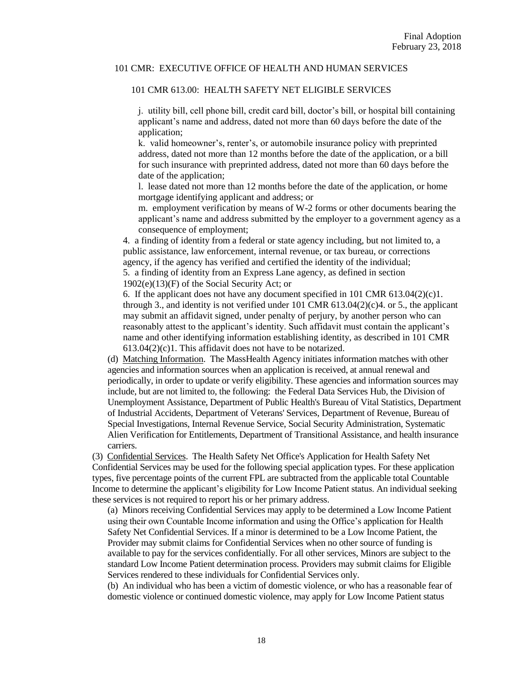#### 101 CMR 613.00: HEALTH SAFETY NET ELIGIBLE SERVICES

j. utility bill, cell phone bill, credit card bill, doctor's bill, or hospital bill containing applicant's name and address, dated not more than 60 days before the date of the application;

k. valid homeowner's, renter's, or automobile insurance policy with preprinted address, dated not more than 12 months before the date of the application, or a bill for such insurance with preprinted address, dated not more than 60 days before the date of the application;

l. lease dated not more than 12 months before the date of the application, or home mortgage identifying applicant and address; or

m. employment verification by means of W-2 forms or other documents bearing the applicant's name and address submitted by the employer to a government agency as a consequence of employment;

4. a finding of identity from a federal or state agency including, but not limited to, a public assistance, law enforcement, internal revenue, or tax bureau, or corrections agency, if the agency has verified and certified the identity of the individual;

5. a finding of identity from an Express Lane agency, as defined in section 1902(e)(13)(F) of the Social Security Act; or

6. If the applicant does not have any document specified in 101 CMR 613.04(2)(c)1. through 3., and identity is not verified under 101 CMR  $613.04(2)(c)4$ . or 5., the applicant may submit an affidavit signed, under penalty of perjury, by another person who can reasonably attest to the applicant's identity. Such affidavit must contain the applicant's name and other identifying information establishing identity, as described in 101 CMR 613.04(2)(c)1. This affidavit does not have to be notarized.

(d) Matching Information. The MassHealth Agency initiates information matches with other agencies and information sources when an application is received, at annual renewal and periodically, in order to update or verify eligibility. These agencies and information sources may include, but are not limited to, the following: the Federal Data Services Hub, the Division of Unemployment Assistance, Department of Public Health's Bureau of Vital Statistics, Department of Industrial Accidents, Department of Veterans' Services, Department of Revenue, Bureau of Special Investigations, Internal Revenue Service, Social Security Administration, Systematic Alien Verification for Entitlements, Department of Transitional Assistance, and health insurance carriers.

(3) Confidential Services. The Health Safety Net Office's Application for Health Safety Net Confidential Services may be used for the following special application types. For these application types, five percentage points of the current FPL are subtracted from the applicable total Countable Income to determine the applicant's eligibility for Low Income Patient status. An individual seeking these services is not required to report his or her primary address.

(a) Minors receiving Confidential Services may apply to be determined a Low Income Patient using their own Countable Income information and using the Office's application for Health Safety Net Confidential Services. If a minor is determined to be a Low Income Patient, the Provider may submit claims for Confidential Services when no other source of funding is available to pay for the services confidentially. For all other services, Minors are subject to the standard Low Income Patient determination process. Providers may submit claims for Eligible Services rendered to these individuals for Confidential Services only.

(b) An individual who has been a victim of domestic violence, or who has a reasonable fear of domestic violence or continued domestic violence, may apply for Low Income Patient status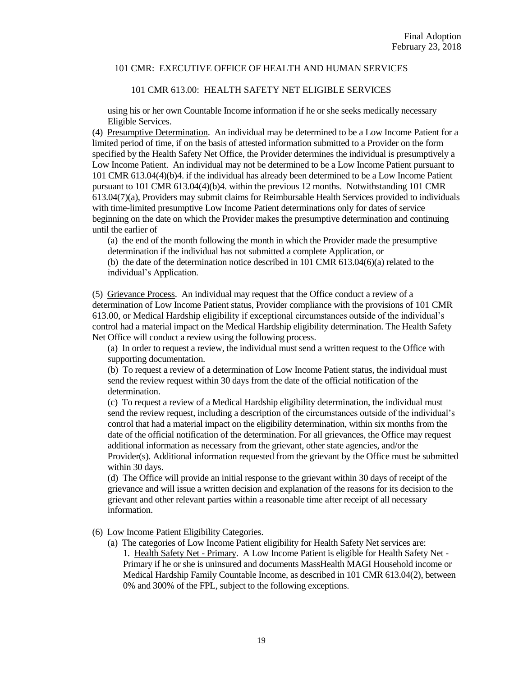### 101 CMR 613.00: HEALTH SAFETY NET ELIGIBLE SERVICES

using his or her own Countable Income information if he or she seeks medically necessary Eligible Services.

(4) Presumptive Determination. An individual may be determined to be a Low Income Patient for a limited period of time, if on the basis of attested information submitted to a Provider on the form specified by the Health Safety Net Office, the Provider determines the individual is presumptively a Low Income Patient. An individual may not be determined to be a Low Income Patient pursuant to 101 CMR 613.04(4)(b)4. if the individual has already been determined to be a Low Income Patient pursuant to 101 CMR 613.04(4)(b)4. within the previous 12 months. Notwithstanding 101 CMR 613.04(7)(a), Providers may submit claims for Reimbursable Health Services provided to individuals with time-limited presumptive Low Income Patient determinations only for dates of service beginning on the date on which the Provider makes the presumptive determination and continuing until the earlier of

(a) the end of the month following the month in which the Provider made the presumptive determination if the individual has not submitted a complete Application, or

(b) the date of the determination notice described in 101 CMR 613.04(6)(a) related to the individual's Application.

(5) Grievance Process. An individual may request that the Office conduct a review of a determination of Low Income Patient status, Provider compliance with the provisions of 101 CMR 613.00, or Medical Hardship eligibility if exceptional circumstances outside of the individual's control had a material impact on the Medical Hardship eligibility determination. The Health Safety Net Office will conduct a review using the following process.

(a) In order to request a review, the individual must send a written request to the Office with supporting documentation.

(b) To request a review of a determination of Low Income Patient status, the individual must send the review request within 30 days from the date of the official notification of the determination.

(c) To request a review of a Medical Hardship eligibility determination, the individual must send the review request, including a description of the circumstances outside of the individual's control that had a material impact on the eligibility determination, within six months from the date of the official notification of the determination. For all grievances, the Office may request additional information as necessary from the grievant, other state agencies, and/or the Provider(s). Additional information requested from the grievant by the Office must be submitted within 30 days.

(d) The Office will provide an initial response to the grievant within 30 days of receipt of the grievance and will issue a written decision and explanation of the reasons for its decision to the grievant and other relevant parties within a reasonable time after receipt of all necessary information.

- (6) Low Income Patient Eligibility Categories.
	- (a) The categories of Low Income Patient eligibility for Health Safety Net services are: 1. Health Safety Net - Primary. A Low Income Patient is eligible for Health Safety Net - Primary if he or she is uninsured and documents MassHealth MAGI Household income or Medical Hardship Family Countable Income, as described in 101 CMR 613.04(2), between 0% and 300% of the FPL, subject to the following exceptions.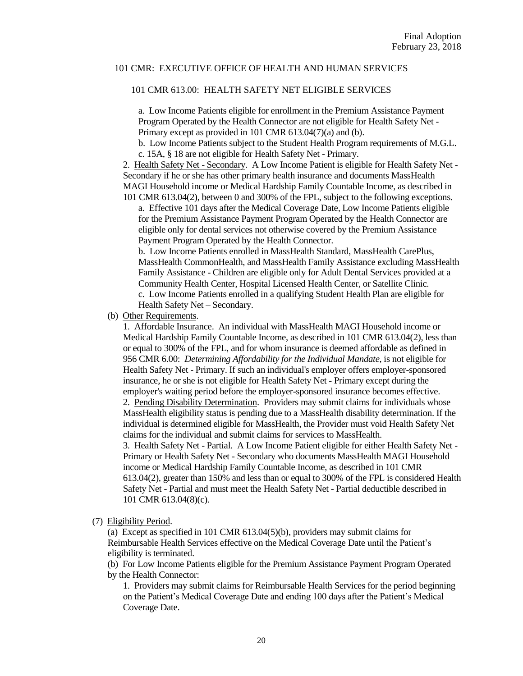### 101 CMR 613.00: HEALTH SAFETY NET ELIGIBLE SERVICES

a. Low Income Patients eligible for enrollment in the Premium Assistance Payment Program Operated by the Health Connector are not eligible for Health Safety Net - Primary except as provided in 101 CMR 613.04(7)(a) and (b).

b. Low Income Patients subject to the Student Health Program requirements of M.G.L. c. 15A, § 18 are not eligible for Health Safety Net - Primary.

2. Health Safety Net - Secondary. A Low Income Patient is eligible for Health Safety Net - Secondary if he or she has other primary health insurance and documents MassHealth MAGI Household income or Medical Hardship Family Countable Income, as described in 101 CMR 613.04(2), between 0 and 300% of the FPL, subject to the following exceptions.

a. Effective 101 days after the Medical Coverage Date, Low Income Patients eligible for the Premium Assistance Payment Program Operated by the Health Connector are eligible only for dental services not otherwise covered by the Premium Assistance Payment Program Operated by the Health Connector.

b. Low Income Patients enrolled in MassHealth Standard, MassHealth CarePlus, MassHealth CommonHealth, and MassHealth Family Assistance excluding MassHealth Family Assistance - Children are eligible only for Adult Dental Services provided at a Community Health Center, Hospital Licensed Health Center, or Satellite Clinic. c. Low Income Patients enrolled in a qualifying Student Health Plan are eligible for Health Safety Net – Secondary.

(b) Other Requirements.

1. Affordable Insurance. An individual with MassHealth MAGI Household income or Medical Hardship Family Countable Income, as described in 101 CMR 613.04(2), less than or equal to 300% of the FPL, and for whom insurance is deemed affordable as defined in 956 CMR 6.00: *Determining Affordability for the Individual Mandate*, is not eligible for Health Safety Net - Primary. If such an individual's employer offers employer-sponsored insurance, he or she is not eligible for Health Safety Net - Primary except during the employer's waiting period before the employer-sponsored insurance becomes effective. 2. Pending Disability Determination. Providers may submit claims for individuals whose MassHealth eligibility status is pending due to a MassHealth disability determination. If the individual is determined eligible for MassHealth, the Provider must void Health Safety Net claims for the individual and submit claims for services to MassHealth. 3. Health Safety Net - Partial. A Low Income Patient eligible for either Health Safety Net - Primary or Health Safety Net - Secondary who documents MassHealth MAGI Household income or Medical Hardship Family Countable Income, as described in 101 CMR 613.04(2), greater than 150% and less than or equal to 300% of the FPL is considered Health Safety Net - Partial and must meet the Health Safety Net - Partial deductible described in 101 CMR 613.04(8)(c).

(7) Eligibility Period.

(a) Except as specified in 101 CMR 613.04(5)(b), providers may submit claims for Reimbursable Health Services effective on the Medical Coverage Date until the Patient's eligibility is terminated.

(b) For Low Income Patients eligible for the Premium Assistance Payment Program Operated by the Health Connector:

1. Providers may submit claims for Reimbursable Health Services for the period beginning on the Patient's Medical Coverage Date and ending 100 days after the Patient's Medical Coverage Date.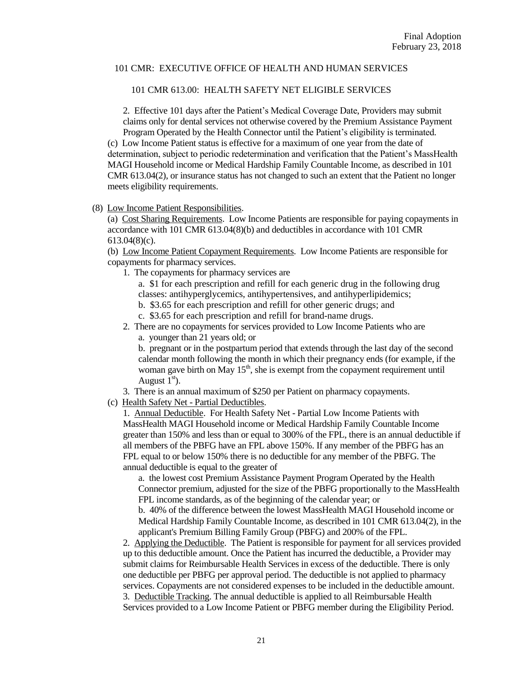#### 101 CMR 613.00: HEALTH SAFETY NET ELIGIBLE SERVICES

2. Effective 101 days after the Patient's Medical Coverage Date, Providers may submit claims only for dental services not otherwise covered by the Premium Assistance Payment Program Operated by the Health Connector until the Patient's eligibility is terminated. (c) Low Income Patient status is effective for a maximum of one year from the date of determination, subject to periodic redetermination and verification that the Patient's MassHealth MAGI Household income or Medical Hardship Family Countable Income, as described in 101 CMR 613.04(2), or insurance status has not changed to such an extent that the Patient no longer meets eligibility requirements.

### (8) Low Income Patient Responsibilities.

(a) Cost Sharing Requirements. Low Income Patients are responsible for paying copayments in accordance with 101 CMR 613.04(8)(b) and deductibles in accordance with 101 CMR 613.04(8)(c).

(b) Low Income Patient Copayment Requirements. Low Income Patients are responsible for copayments for pharmacy services.

1. The copayments for pharmacy services are

a. \$1 for each prescription and refill for each generic drug in the following drug classes: antihyperglycemics, antihypertensives, and antihyperlipidemics;

- b. \$3.65 for each prescription and refill for other generic drugs; and
- c. \$3.65 for each prescription and refill for brand-name drugs.
- 2. There are no copayments for services provided to Low Income Patients who are
	- a. younger than 21 years old; or

b. pregnant or in the postpartum period that extends through the last day of the second calendar month following the month in which their pregnancy ends (for example, if the woman gave birth on May  $15<sup>th</sup>$ , she is exempt from the copayment requirement until August  $1<sup>st</sup>$ ).

3. There is an annual maximum of \$250 per Patient on pharmacy copayments.

(c) Health Safety Net - Partial Deductibles.

1. Annual Deductible. For Health Safety Net - Partial Low Income Patients with MassHealth MAGI Household income or Medical Hardship Family Countable Income greater than 150% and less than or equal to 300% of the FPL, there is an annual deductible if all members of the PBFG have an FPL above 150%. If any member of the PBFG has an FPL equal to or below 150% there is no deductible for any member of the PBFG. The annual deductible is equal to the greater of

a. the lowest cost Premium Assistance Payment Program Operated by the Health Connector premium, adjusted for the size of the PBFG proportionally to the MassHealth FPL income standards, as of the beginning of the calendar year; or

b. 40% of the difference between the lowest MassHealth MAGI Household income or Medical Hardship Family Countable Income, as described in 101 CMR 613.04(2), in the applicant's Premium Billing Family Group (PBFG) and 200% of the FPL.

2. Applying the Deductible. The Patient is responsible for payment for all services provided up to this deductible amount. Once the Patient has incurred the deductible, a Provider may submit claims for Reimbursable Health Services in excess of the deductible. There is only one deductible per PBFG per approval period. The deductible is not applied to pharmacy services. Copayments are not considered expenses to be included in the deductible amount. 3. Deductible Tracking. The annual deductible is applied to all Reimbursable Health Services provided to a Low Income Patient or PBFG member during the Eligibility Period.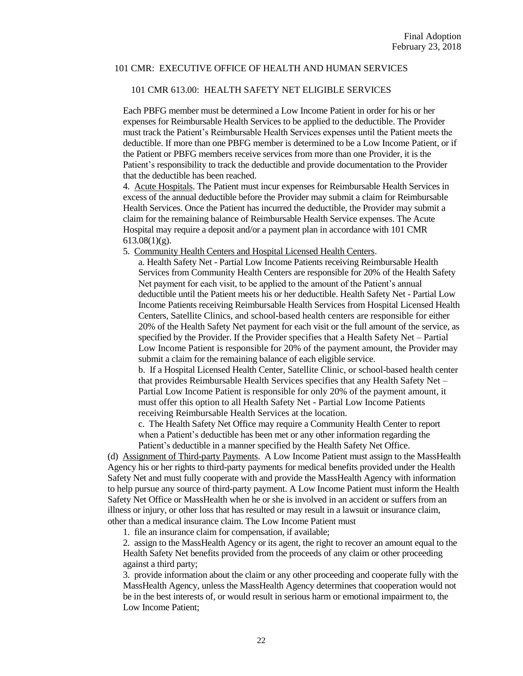#### 101 CMR 613.00: HEALTH SAFETY NET ELIGIBLE SERVICES

Each PBFG member must be determined a Low Income Patient in order for his or her expenses for Reimbursable Health Services to be applied to the deductible. The Provider must track the Patient's Reimbursable Health Services expenses until the Patient meets the deductible. If more than one PBFG member is determined to be a Low Income Patient, or if the Patient or PBFG members receive services from more than one Provider, it is the Patient's responsibility to track the deductible and provide documentation to the Provider that the deductible has been reached.

4. Acute Hospitals. The Patient must incur expenses for Reimbursable Health Services in excess of the annual deductible before the Provider may submit a claim for Reimbursable Health Services. Once the Patient has incurred the deductible, the Provider may submit a claim for the remaining balance of Reimbursable Health Service expenses. The Acute Hospital may require a deposit and/or a payment plan in accordance with 101 CMR  $613.08(1)(g)$ .

5. Community Health Centers and Hospital Licensed Health Centers.

a. Health Safety Net - Partial Low Income Patients receiving Reimbursable Health Services from Community Health Centers are responsible for 20% of the Health Safety Net payment for each visit, to be applied to the amount of the Patient's annual deductible until the Patient meets his or her deductible. Health Safety Net - Partial Low Income Patients receiving Reimbursable Health Services from Hospital Licensed Health Centers, Satellite Clinics, and school-based health centers are responsible for either 20% of the Health Safety Net payment for each visit or the full amount of the service, as specified by the Provider. If the Provider specifies that a Health Safety Net – Partial Low Income Patient is responsible for 20% of the payment amount, the Provider may submit a claim for the remaining balance of each eligible service.

b. If a Hospital Licensed Health Center, Satellite Clinic, or school-based health center that provides Reimbursable Health Services specifies that any Health Safety Net – Partial Low Income Patient is responsible for only 20% of the payment amount, it must offer this option to all Health Safety Net - Partial Low Income Patients receiving Reimbursable Health Services at the location.

c. The Health Safety Net Office may require a Community Health Center to report when a Patient's deductible has been met or any other information regarding the Patient's deductible in a manner specified by the Health Safety Net Office.

(d) Assignment of Third-party Payments. A Low Income Patient must assign to the MassHealth Agency his or her rights to third-party payments for medical benefits provided under the Health Safety Net and must fully cooperate with and provide the MassHealth Agency with information to help pursue any source of third-party payment. A Low Income Patient must inform the Health Safety Net Office or MassHealth when he or she is involved in an accident or suffers from an illness or injury, or other loss that has resulted or may result in a lawsuit or insurance claim, other than a medical insurance claim. The Low Income Patient must

1. file an insurance claim for compensation, if available;

2. assign to the MassHealth Agency or its agent, the right to recover an amount equal to the Health Safety Net benefits provided from the proceeds of any claim or other proceeding against a third party;

3. provide information about the claim or any other proceeding and cooperate fully with the MassHealth Agency, unless the MassHealth Agency determines that cooperation would not be in the best interests of, or would result in serious harm or emotional impairment to, the Low Income Patient;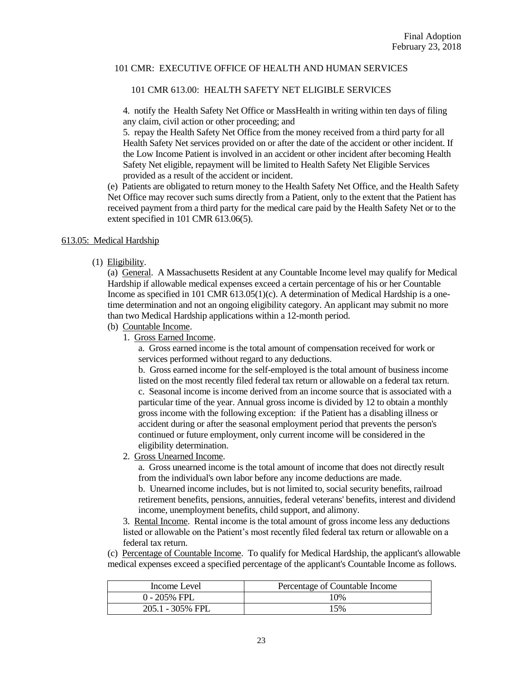### 101 CMR 613.00: HEALTH SAFETY NET ELIGIBLE SERVICES

4. notify the Health Safety Net Office or MassHealth in writing within ten days of filing any claim, civil action or other proceeding; and

5. repay the Health Safety Net Office from the money received from a third party for all Health Safety Net services provided on or after the date of the accident or other incident. If the Low Income Patient is involved in an accident or other incident after becoming Health Safety Net eligible, repayment will be limited to Health Safety Net Eligible Services provided as a result of the accident or incident.

(e) Patients are obligated to return money to the Health Safety Net Office, and the Health Safety Net Office may recover such sums directly from a Patient, only to the extent that the Patient has received payment from a third party for the medical care paid by the Health Safety Net or to the extent specified in 101 CMR 613.06(5).

### 613.05: Medical Hardship

(1) Eligibility.

(a) General. A Massachusetts Resident at any Countable Income level may qualify for Medical Hardship if allowable medical expenses exceed a certain percentage of his or her Countable Income as specified in 101 CMR 613.05(1)(c). A determination of Medical Hardship is a onetime determination and not an ongoing eligibility category. An applicant may submit no more than two Medical Hardship applications within a 12-month period.

- (b) Countable Income.
	- 1. Gross Earned Income.

a. Gross earned income is the total amount of compensation received for work or services performed without regard to any deductions.

b. Gross earned income for the self-employed is the total amount of business income listed on the most recently filed federal tax return or allowable on a federal tax return. c. Seasonal income is income derived from an income source that is associated with a particular time of the year. Annual gross income is divided by 12 to obtain a monthly gross income with the following exception: if the Patient has a disabling illness or accident during or after the seasonal employment period that prevents the person's continued or future employment, only current income will be considered in the eligibility determination.

2. Gross Unearned Income.

a. Gross unearned income is the total amount of income that does not directly result from the individual's own labor before any income deductions are made.

b. Unearned income includes, but is not limited to, social security benefits, railroad retirement benefits, pensions, annuities, federal veterans' benefits, interest and dividend income, unemployment benefits, child support, and alimony.

3. Rental Income. Rental income is the total amount of gross income less any deductions listed or allowable on the Patient's most recently filed federal tax return or allowable on a federal tax return.

(c) Percentage of Countable Income. To qualify for Medical Hardship, the applicant's allowable medical expenses exceed a specified percentage of the applicant's Countable Income as follows.

| Income Level     | Percentage of Countable Income |
|------------------|--------------------------------|
| $0 - 205%$ FPL   | 10%                            |
| 205.1 - 305% FPL | 15%                            |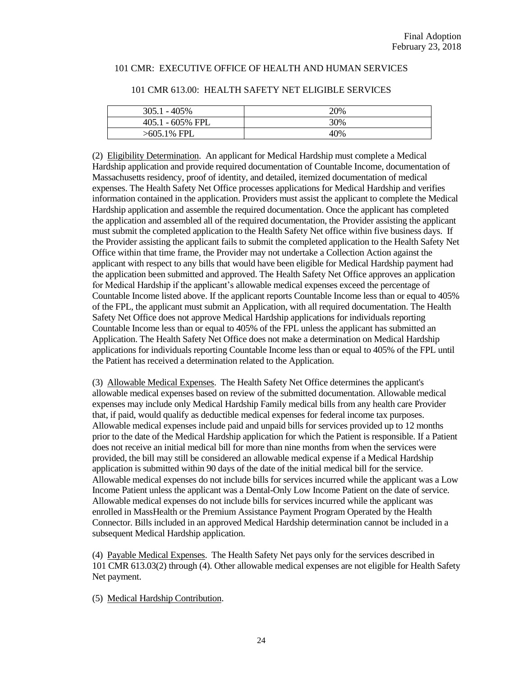| $305.1 - 405\%$  | 20% |
|------------------|-----|
| 405.1 - 605% FPL | 30% |
| $>605.1\%$ FPL   | 40% |

#### 101 CMR 613.00: HEALTH SAFETY NET ELIGIBLE SERVICES

(2) Eligibility Determination. An applicant for Medical Hardship must complete a Medical Hardship application and provide required documentation of Countable Income, documentation of Massachusetts residency, proof of identity, and detailed, itemized documentation of medical expenses. The Health Safety Net Office processes applications for Medical Hardship and verifies information contained in the application. Providers must assist the applicant to complete the Medical Hardship application and assemble the required documentation. Once the applicant has completed the application and assembled all of the required documentation, the Provider assisting the applicant must submit the completed application to the Health Safety Net office within five business days. If the Provider assisting the applicant fails to submit the completed application to the Health Safety Net Office within that time frame, the Provider may not undertake a Collection Action against the applicant with respect to any bills that would have been eligible for Medical Hardship payment had the application been submitted and approved. The Health Safety Net Office approves an application for Medical Hardship if the applicant's allowable medical expenses exceed the percentage of Countable Income listed above. If the applicant reports Countable Income less than or equal to 405% of the FPL, the applicant must submit an Application, with all required documentation. The Health Safety Net Office does not approve Medical Hardship applications for individuals reporting Countable Income less than or equal to 405% of the FPL unless the applicant has submitted an Application. The Health Safety Net Office does not make a determination on Medical Hardship applications for individuals reporting Countable Income less than or equal to 405% of the FPL until the Patient has received a determination related to the Application.

(3) Allowable Medical Expenses. The Health Safety Net Office determines the applicant's allowable medical expenses based on review of the submitted documentation. Allowable medical expenses may include only Medical Hardship Family medical bills from any health care Provider that, if paid, would qualify as deductible medical expenses for federal income tax purposes. Allowable medical expenses include paid and unpaid bills for services provided up to 12 months prior to the date of the Medical Hardship application for which the Patient is responsible. If a Patient does not receive an initial medical bill for more than nine months from when the services were provided, the bill may still be considered an allowable medical expense if a Medical Hardship application is submitted within 90 days of the date of the initial medical bill for the service. Allowable medical expenses do not include bills for services incurred while the applicant was a Low Income Patient unless the applicant was a Dental-Only Low Income Patient on the date of service. Allowable medical expenses do not include bills for services incurred while the applicant was enrolled in MassHealth or the Premium Assistance Payment Program Operated by the Health Connector. Bills included in an approved Medical Hardship determination cannot be included in a subsequent Medical Hardship application.

(4) Payable Medical Expenses. The Health Safety Net pays only for the services described in 101 CMR 613.03(2) through (4). Other allowable medical expenses are not eligible for Health Safety Net payment.

(5) Medical Hardship Contribution.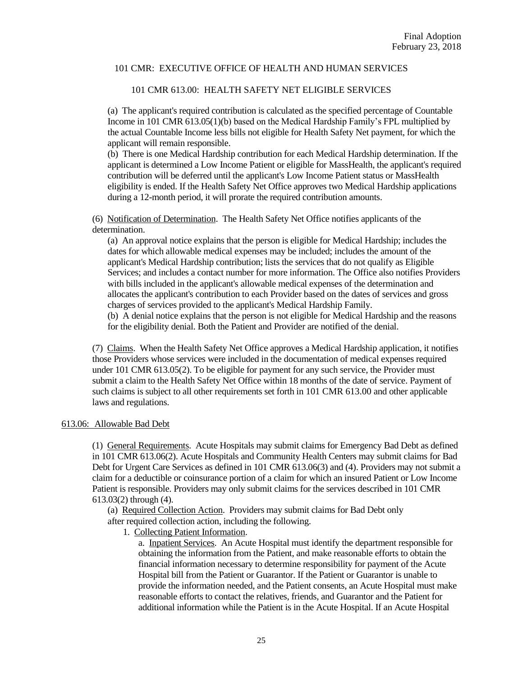### 101 CMR 613.00: HEALTH SAFETY NET ELIGIBLE SERVICES

(a) The applicant's required contribution is calculated as the specified percentage of Countable Income in 101 CMR 613.05(1)(b) based on the Medical Hardship Family's FPL multiplied by the actual Countable Income less bills not eligible for Health Safety Net payment, for which the applicant will remain responsible.

(b) There is one Medical Hardship contribution for each Medical Hardship determination. If the applicant is determined a Low Income Patient or eligible for MassHealth, the applicant's required contribution will be deferred until the applicant's Low Income Patient status or MassHealth eligibility is ended. If the Health Safety Net Office approves two Medical Hardship applications during a 12-month period, it will prorate the required contribution amounts.

(6) Notification of Determination. The Health Safety Net Office notifies applicants of the determination.

(a) An approval notice explains that the person is eligible for Medical Hardship; includes the dates for which allowable medical expenses may be included; includes the amount of the applicant's Medical Hardship contribution; lists the services that do not qualify as Eligible Services; and includes a contact number for more information. The Office also notifies Providers with bills included in the applicant's allowable medical expenses of the determination and allocates the applicant's contribution to each Provider based on the dates of services and gross charges of services provided to the applicant's Medical Hardship Family.

(b) A denial notice explains that the person is not eligible for Medical Hardship and the reasons for the eligibility denial. Both the Patient and Provider are notified of the denial.

(7) Claims. When the Health Safety Net Office approves a Medical Hardship application, it notifies those Providers whose services were included in the documentation of medical expenses required under 101 CMR 613.05(2). To be eligible for payment for any such service, the Provider must submit a claim to the Health Safety Net Office within 18 months of the date of service. Payment of such claims is subject to all other requirements set forth in 101 CMR 613.00 and other applicable laws and regulations.

#### 613.06: Allowable Bad Debt

(1) General Requirements. Acute Hospitals may submit claims for Emergency Bad Debt as defined in 101 CMR 613.06(2). Acute Hospitals and Community Health Centers may submit claims for Bad Debt for Urgent Care Services as defined in 101 CMR 613.06(3) and (4). Providers may not submit a claim for a deductible or coinsurance portion of a claim for which an insured Patient or Low Income Patient is responsible. Providers may only submit claims for the services described in 101 CMR 613.03(2) through (4).

(a) Required Collection Action. Providers may submit claims for Bad Debt only after required collection action, including the following.

1. Collecting Patient Information.

a. Inpatient Services. An Acute Hospital must identify the department responsible for obtaining the information from the Patient, and make reasonable efforts to obtain the financial information necessary to determine responsibility for payment of the Acute Hospital bill from the Patient or Guarantor. If the Patient or Guarantor is unable to provide the information needed, and the Patient consents, an Acute Hospital must make reasonable efforts to contact the relatives, friends, and Guarantor and the Patient for additional information while the Patient is in the Acute Hospital. If an Acute Hospital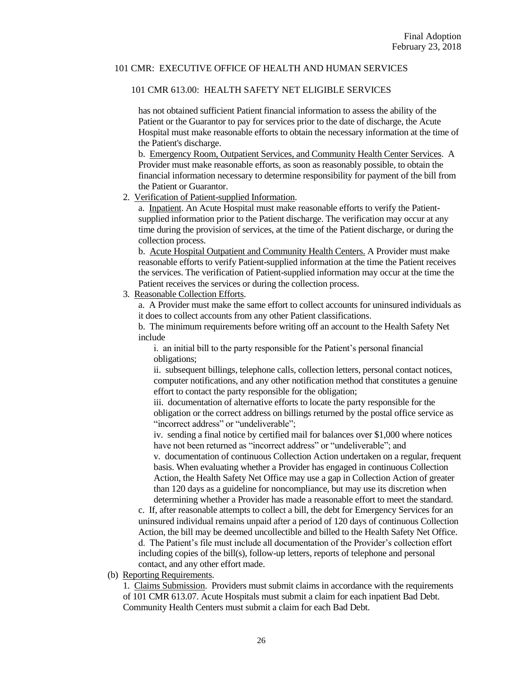### 101 CMR 613.00: HEALTH SAFETY NET ELIGIBLE SERVICES

has not obtained sufficient Patient financial information to assess the ability of the Patient or the Guarantor to pay for services prior to the date of discharge, the Acute Hospital must make reasonable efforts to obtain the necessary information at the time of the Patient's discharge.

b. Emergency Room, Outpatient Services, and Community Health Center Services. A Provider must make reasonable efforts, as soon as reasonably possible, to obtain the financial information necessary to determine responsibility for payment of the bill from the Patient or Guarantor.

### 2. Verification of Patient-supplied Information.

a. Inpatient. An Acute Hospital must make reasonable efforts to verify the Patientsupplied information prior to the Patient discharge. The verification may occur at any time during the provision of services, at the time of the Patient discharge, or during the collection process.

b. Acute Hospital Outpatient and Community Health Centers. A Provider must make reasonable efforts to verify Patient-supplied information at the time the Patient receives the services. The verification of Patient-supplied information may occur at the time the Patient receives the services or during the collection process.

## 3. Reasonable Collection Efforts.

a. A Provider must make the same effort to collect accounts for uninsured individuals as it does to collect accounts from any other Patient classifications.

b. The minimum requirements before writing off an account to the Health Safety Net include

i. an initial bill to the party responsible for the Patient's personal financial obligations;

ii. subsequent billings, telephone calls, collection letters, personal contact notices, computer notifications, and any other notification method that constitutes a genuine effort to contact the party responsible for the obligation;

iii. documentation of alternative efforts to locate the party responsible for the obligation or the correct address on billings returned by the postal office service as "incorrect address" or "undeliverable";

iv. sending a final notice by certified mail for balances over \$1,000 where notices have not been returned as "incorrect address" or "undeliverable"; and

v. documentation of continuous Collection Action undertaken on a regular, frequent basis. When evaluating whether a Provider has engaged in continuous Collection Action, the Health Safety Net Office may use a gap in Collection Action of greater than 120 days as a guideline for noncompliance, but may use its discretion when determining whether a Provider has made a reasonable effort to meet the standard.

c. If, after reasonable attempts to collect a bill, the debt for Emergency Services for an uninsured individual remains unpaid after a period of 120 days of continuous Collection Action, the bill may be deemed uncollectible and billed to the Health Safety Net Office. d. The Patient's file must include all documentation of the Provider's collection effort including copies of the bill(s), follow-up letters, reports of telephone and personal contact, and any other effort made.

#### (b) Reporting Requirements.

1. Claims Submission. Providers must submit claims in accordance with the requirements of 101 CMR 613.07. Acute Hospitals must submit a claim for each inpatient Bad Debt. Community Health Centers must submit a claim for each Bad Debt.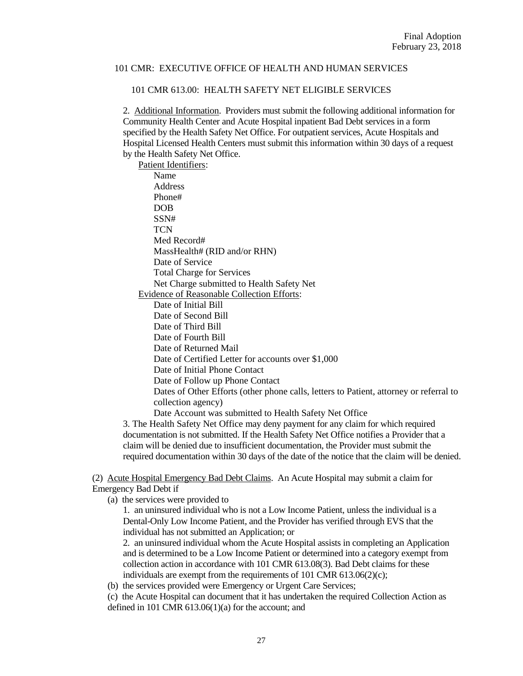#### 101 CMR 613.00: HEALTH SAFETY NET ELIGIBLE SERVICES

2. Additional Information. Providers must submit the following additional information for Community Health Center and Acute Hospital inpatient Bad Debt services in a form specified by the Health Safety Net Office. For outpatient services, Acute Hospitals and Hospital Licensed Health Centers must submit this information within 30 days of a request by the Health Safety Net Office.

Patient Identifiers: Name Address Phone# DOB SSN# **TCN** Med Record# MassHealth# (RID and/or RHN) Date of Service Total Charge for Services Net Charge submitted to Health Safety Net Evidence of Reasonable Collection Efforts: Date of Initial Bill Date of Second Bill Date of Third Bill Date of Fourth Bill Date of Returned Mail Date of Certified Letter for accounts over \$1,000 Date of Initial Phone Contact Date of Follow up Phone Contact Dates of Other Efforts (other phone calls, letters to Patient, attorney or referral to collection agency) Date Account was submitted to Health Safety Net Office

3. The Health Safety Net Office may deny payment for any claim for which required documentation is not submitted. If the Health Safety Net Office notifies a Provider that a claim will be denied due to insufficient documentation, the Provider must submit the required documentation within 30 days of the date of the notice that the claim will be denied.

(2) Acute Hospital Emergency Bad Debt Claims. An Acute Hospital may submit a claim for Emergency Bad Debt if

(a) the services were provided to

1. an uninsured individual who is not a Low Income Patient, unless the individual is a Dental-Only Low Income Patient, and the Provider has verified through EVS that the individual has not submitted an Application; or

2. an uninsured individual whom the Acute Hospital assists in completing an Application and is determined to be a Low Income Patient or determined into a category exempt from collection action in accordance with 101 CMR 613.08(3). Bad Debt claims for these individuals are exempt from the requirements of 101 CMR 613.06(2)(c);

(b) the services provided were Emergency or Urgent Care Services;

(c) the Acute Hospital can document that it has undertaken the required Collection Action as defined in 101 CMR  $613.06(1)(a)$  for the account; and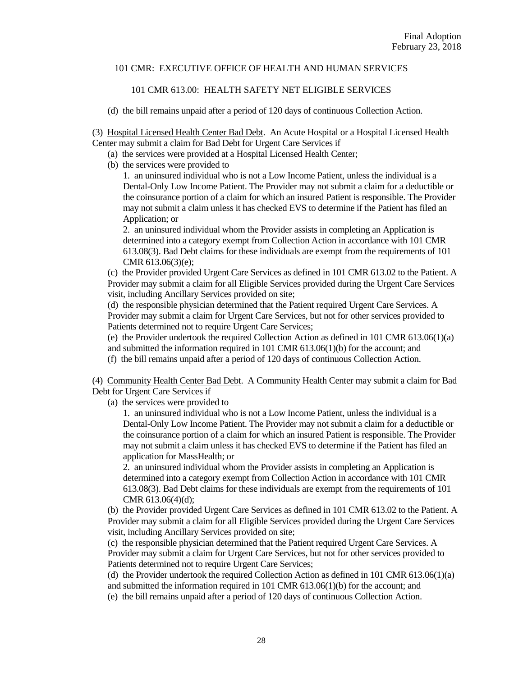### 101 CMR 613.00: HEALTH SAFETY NET ELIGIBLE SERVICES

(d) the bill remains unpaid after a period of 120 days of continuous Collection Action.

(3) Hospital Licensed Health Center Bad Debt. An Acute Hospital or a Hospital Licensed Health Center may submit a claim for Bad Debt for Urgent Care Services if

- (a) the services were provided at a Hospital Licensed Health Center;
- (b) the services were provided to

1. an uninsured individual who is not a Low Income Patient, unless the individual is a Dental-Only Low Income Patient. The Provider may not submit a claim for a deductible or the coinsurance portion of a claim for which an insured Patient is responsible. The Provider may not submit a claim unless it has checked EVS to determine if the Patient has filed an Application; or

2. an uninsured individual whom the Provider assists in completing an Application is determined into a category exempt from Collection Action in accordance with 101 CMR 613.08(3). Bad Debt claims for these individuals are exempt from the requirements of 101 CMR 613.06(3)(e);

(c) the Provider provided Urgent Care Services as defined in 101 CMR 613.02 to the Patient. A Provider may submit a claim for all Eligible Services provided during the Urgent Care Services visit, including Ancillary Services provided on site;

(d) the responsible physician determined that the Patient required Urgent Care Services. A Provider may submit a claim for Urgent Care Services, but not for other services provided to Patients determined not to require Urgent Care Services;

(e) the Provider undertook the required Collection Action as defined in 101 CMR  $613.06(1)(a)$ and submitted the information required in 101 CMR 613.06(1)(b) for the account; and

(f) the bill remains unpaid after a period of 120 days of continuous Collection Action.

(4) Community Health Center Bad Debt. A Community Health Center may submit a claim for Bad Debt for Urgent Care Services if

(a) the services were provided to

1. an uninsured individual who is not a Low Income Patient, unless the individual is a Dental-Only Low Income Patient. The Provider may not submit a claim for a deductible or the coinsurance portion of a claim for which an insured Patient is responsible. The Provider may not submit a claim unless it has checked EVS to determine if the Patient has filed an application for MassHealth; or

2. an uninsured individual whom the Provider assists in completing an Application is determined into a category exempt from Collection Action in accordance with 101 CMR 613.08(3). Bad Debt claims for these individuals are exempt from the requirements of 101 CMR 613.06(4)(d);

(b) the Provider provided Urgent Care Services as defined in 101 CMR 613.02 to the Patient. A Provider may submit a claim for all Eligible Services provided during the Urgent Care Services visit, including Ancillary Services provided on site;

(c) the responsible physician determined that the Patient required Urgent Care Services. A Provider may submit a claim for Urgent Care Services, but not for other services provided to Patients determined not to require Urgent Care Services;

(d) the Provider undertook the required Collection Action as defined in 101 CMR 613.06(1)(a) and submitted the information required in 101 CMR 613.06(1)(b) for the account; and

(e) the bill remains unpaid after a period of 120 days of continuous Collection Action.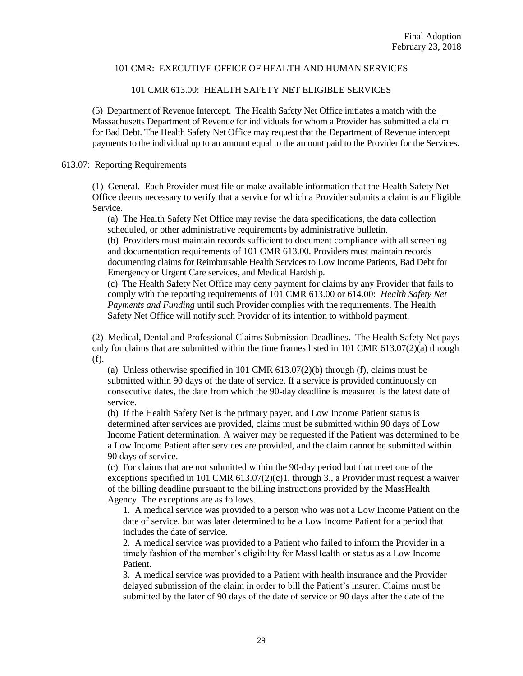### 101 CMR 613.00: HEALTH SAFETY NET ELIGIBLE SERVICES

(5) Department of Revenue Intercept. The Health Safety Net Office initiates a match with the Massachusetts Department of Revenue for individuals for whom a Provider has submitted a claim for Bad Debt. The Health Safety Net Office may request that the Department of Revenue intercept payments to the individual up to an amount equal to the amount paid to the Provider for the Services.

#### 613.07: Reporting Requirements

(1) General. Each Provider must file or make available information that the Health Safety Net Office deems necessary to verify that a service for which a Provider submits a claim is an Eligible Service.

(a) The Health Safety Net Office may revise the data specifications, the data collection scheduled, or other administrative requirements by administrative bulletin.

(b) Providers must maintain records sufficient to document compliance with all screening and documentation requirements of 101 CMR 613.00. Providers must maintain records documenting claims for Reimbursable Health Services to Low Income Patients, Bad Debt for Emergency or Urgent Care services, and Medical Hardship.

(c) The Health Safety Net Office may deny payment for claims by any Provider that fails to comply with the reporting requirements of 101 CMR 613.00 or 614.00: *Health Safety Net Payments and Funding* until such Provider complies with the requirements. The Health Safety Net Office will notify such Provider of its intention to withhold payment.

(2) Medical, Dental and Professional Claims Submission Deadlines. The Health Safety Net pays only for claims that are submitted within the time frames listed in 101 CMR 613.07(2)(a) through (f).

(a) Unless otherwise specified in 101 CMR 613.07(2)(b) through (f), claims must be submitted within 90 days of the date of service. If a service is provided continuously on consecutive dates, the date from which the 90-day deadline is measured is the latest date of service.

(b) If the Health Safety Net is the primary payer, and Low Income Patient status is determined after services are provided, claims must be submitted within 90 days of Low Income Patient determination. A waiver may be requested if the Patient was determined to be a Low Income Patient after services are provided, and the claim cannot be submitted within 90 days of service.

(c) For claims that are not submitted within the 90-day period but that meet one of the exceptions specified in 101 CMR  $613.07(2)(c)1$ . through 3., a Provider must request a waiver of the billing deadline pursuant to the billing instructions provided by the MassHealth Agency. The exceptions are as follows.

1. A medical service was provided to a person who was not a Low Income Patient on the date of service, but was later determined to be a Low Income Patient for a period that includes the date of service.

2. A medical service was provided to a Patient who failed to inform the Provider in a timely fashion of the member's eligibility for MassHealth or status as a Low Income Patient.

3. A medical service was provided to a Patient with health insurance and the Provider delayed submission of the claim in order to bill the Patient's insurer. Claims must be submitted by the later of 90 days of the date of service or 90 days after the date of the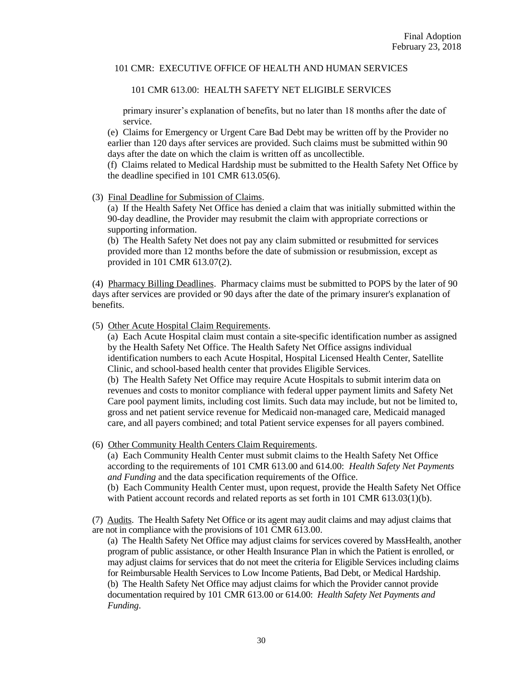101 CMR 613.00: HEALTH SAFETY NET ELIGIBLE SERVICES

primary insurer's explanation of benefits, but no later than 18 months after the date of service.

(e) Claims for Emergency or Urgent Care Bad Debt may be written off by the Provider no earlier than 120 days after services are provided. Such claims must be submitted within 90 days after the date on which the claim is written off as uncollectible.

(f) Claims related to Medical Hardship must be submitted to the Health Safety Net Office by the deadline specified in 101 CMR 613.05(6).

(3) Final Deadline for Submission of Claims.

(a) If the Health Safety Net Office has denied a claim that was initially submitted within the 90-day deadline, the Provider may resubmit the claim with appropriate corrections or supporting information.

(b) The Health Safety Net does not pay any claim submitted or resubmitted for services provided more than 12 months before the date of submission or resubmission, except as provided in 101 CMR 613.07(2).

(4) Pharmacy Billing Deadlines. Pharmacy claims must be submitted to POPS by the later of 90 days after services are provided or 90 days after the date of the primary insurer's explanation of benefits.

(5) Other Acute Hospital Claim Requirements.

(a) Each Acute Hospital claim must contain a site-specific identification number as assigned by the Health Safety Net Office. The Health Safety Net Office assigns individual identification numbers to each Acute Hospital, Hospital Licensed Health Center, Satellite Clinic, and school-based health center that provides Eligible Services.

(b) The Health Safety Net Office may require Acute Hospitals to submit interim data on revenues and costs to monitor compliance with federal upper payment limits and Safety Net Care pool payment limits, including cost limits. Such data may include, but not be limited to, gross and net patient service revenue for Medicaid non-managed care, Medicaid managed care, and all payers combined; and total Patient service expenses for all payers combined.

(6) Other Community Health Centers Claim Requirements.

(a) Each Community Health Center must submit claims to the Health Safety Net Office according to the requirements of 101 CMR 613.00 and 614.00: *Health Safety Net Payments and Funding* and the data specification requirements of the Office.

(b) Each Community Health Center must, upon request, provide the Health Safety Net Office with Patient account records and related reports as set forth in 101 CMR 613.03(1)(b).

(7) Audits. The Health Safety Net Office or its agent may audit claims and may adjust claims that are not in compliance with the provisions of 101 CMR 613.00.

(a) The Health Safety Net Office may adjust claims for services covered by MassHealth, another program of public assistance, or other Health Insurance Plan in which the Patient is enrolled, or may adjust claims for services that do not meet the criteria for Eligible Services including claims for Reimbursable Health Services to Low Income Patients, Bad Debt, or Medical Hardship. (b) The Health Safety Net Office may adjust claims for which the Provider cannot provide documentation required by 101 CMR 613.00 or 614.00: *Health Safety Net Payments and Funding*.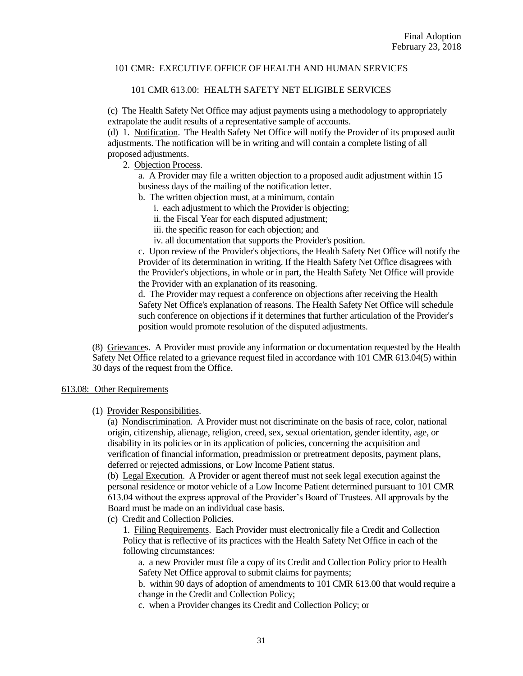### 101 CMR 613.00: HEALTH SAFETY NET ELIGIBLE SERVICES

(c) The Health Safety Net Office may adjust payments using a methodology to appropriately extrapolate the audit results of a representative sample of accounts.

(d) 1. Notification. The Health Safety Net Office will notify the Provider of its proposed audit adjustments. The notification will be in writing and will contain a complete listing of all proposed adjustments.

2. Objection Process.

a. A Provider may file a written objection to a proposed audit adjustment within 15 business days of the mailing of the notification letter.

b. The written objection must, at a minimum, contain

i. each adjustment to which the Provider is objecting;

ii. the Fiscal Year for each disputed adjustment;

iii. the specific reason for each objection; and

iv. all documentation that supports the Provider's position.

c. Upon review of the Provider's objections, the Health Safety Net Office will notify the Provider of its determination in writing. If the Health Safety Net Office disagrees with the Provider's objections, in whole or in part, the Health Safety Net Office will provide the Provider with an explanation of its reasoning.

d. The Provider may request a conference on objections after receiving the Health Safety Net Office's explanation of reasons. The Health Safety Net Office will schedule such conference on objections if it determines that further articulation of the Provider's position would promote resolution of the disputed adjustments.

(8) Grievances. A Provider must provide any information or documentation requested by the Health Safety Net Office related to a grievance request filed in accordance with 101 CMR 613.04(5) within 30 days of the request from the Office.

### 613.08: Other Requirements

## (1) Provider Responsibilities.

(a) Nondiscrimination. A Provider must not discriminate on the basis of race, color, national origin, citizenship, alienage, religion, creed, sex, sexual orientation, gender identity, age, or disability in its policies or in its application of policies, concerning the acquisition and verification of financial information, preadmission or pretreatment deposits, payment plans, deferred or rejected admissions, or Low Income Patient status.

(b) Legal Execution. A Provider or agent thereof must not seek legal execution against the personal residence or motor vehicle of a Low Income Patient determined pursuant to 101 CMR 613.04 without the express approval of the Provider's Board of Trustees. All approvals by the Board must be made on an individual case basis.

(c) Credit and Collection Policies.

1. Filing Requirements. Each Provider must electronically file a Credit and Collection Policy that is reflective of its practices with the Health Safety Net Office in each of the following circumstances:

a. a new Provider must file a copy of its Credit and Collection Policy prior to Health Safety Net Office approval to submit claims for payments;

b. within 90 days of adoption of amendments to 101 CMR 613.00 that would require a change in the Credit and Collection Policy;

c. when a Provider changes its Credit and Collection Policy; or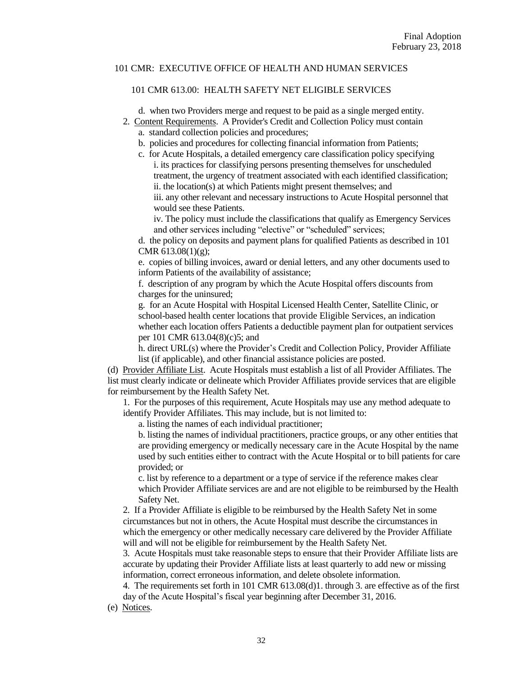### 101 CMR 613.00: HEALTH SAFETY NET ELIGIBLE SERVICES

d. when two Providers merge and request to be paid as a single merged entity.

- 2. Content Requirements. A Provider's Credit and Collection Policy must contain
	- a. standard collection policies and procedures;
	- b. policies and procedures for collecting financial information from Patients;
	- c. for Acute Hospitals, a detailed emergency care classification policy specifying i. its practices for classifying persons presenting themselves for unscheduled treatment, the urgency of treatment associated with each identified classification; ii. the location(s) at which Patients might present themselves; and iii. any other relevant and necessary instructions to Acute Hospital personnel that would see these Patients.

iv. The policy must include the classifications that qualify as Emergency Services and other services including "elective" or "scheduled" services;

d. the policy on deposits and payment plans for qualified Patients as described in 101 CMR 613.08(1)(g);

e. copies of billing invoices, award or denial letters, and any other documents used to inform Patients of the availability of assistance;

f. description of any program by which the Acute Hospital offers discounts from charges for the uninsured;

g. for an Acute Hospital with Hospital Licensed Health Center, Satellite Clinic, or school-based health center locations that provide Eligible Services, an indication whether each location offers Patients a deductible payment plan for outpatient services per 101 CMR 613.04(8)(c)5; and

h. direct URL(s) where the Provider's Credit and Collection Policy, Provider Affiliate list (if applicable), and other financial assistance policies are posted.

(d) Provider Affiliate List. Acute Hospitals must establish a list of all Provider Affiliates. The list must clearly indicate or delineate which Provider Affiliates provide services that are eligible for reimbursement by the Health Safety Net.

1. For the purposes of this requirement, Acute Hospitals may use any method adequate to identify Provider Affiliates. This may include, but is not limited to:

a. listing the names of each individual practitioner;

b. listing the names of individual practitioners, practice groups, or any other entities that are providing emergency or medically necessary care in the Acute Hospital by the name used by such entities either to contract with the Acute Hospital or to bill patients for care provided; or

c. list by reference to a department or a type of service if the reference makes clear which Provider Affiliate services are and are not eligible to be reimbursed by the Health Safety Net.

2. If a Provider Affiliate is eligible to be reimbursed by the Health Safety Net in some circumstances but not in others, the Acute Hospital must describe the circumstances in which the emergency or other medically necessary care delivered by the Provider Affiliate will and will not be eligible for reimbursement by the Health Safety Net.

3. Acute Hospitals must take reasonable steps to ensure that their Provider Affiliate lists are accurate by updating their Provider Affiliate lists at least quarterly to add new or missing information, correct erroneous information, and delete obsolete information.

4. The requirements set forth in 101 CMR 613.08(d)1. through 3. are effective as of the first day of the Acute Hospital's fiscal year beginning after December 31, 2016.

(e) Notices.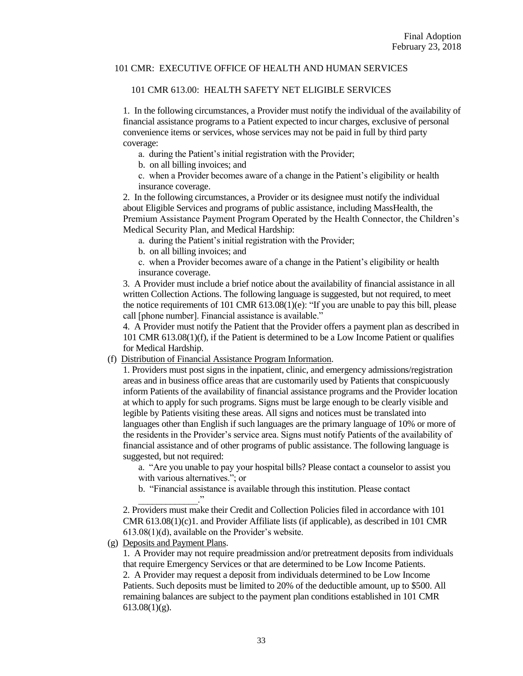#### 101 CMR 613.00: HEALTH SAFETY NET ELIGIBLE SERVICES

1. In the following circumstances, a Provider must notify the individual of the availability of financial assistance programs to a Patient expected to incur charges, exclusive of personal convenience items or services, whose services may not be paid in full by third party coverage:

a. during the Patient's initial registration with the Provider;

b. on all billing invoices; and

c. when a Provider becomes aware of a change in the Patient's eligibility or health insurance coverage.

2. In the following circumstances, a Provider or its designee must notify the individual about Eligible Services and programs of public assistance, including MassHealth, the Premium Assistance Payment Program Operated by the Health Connector, the Children's Medical Security Plan, and Medical Hardship:

a. during the Patient's initial registration with the Provider;

b. on all billing invoices; and

c. when a Provider becomes aware of a change in the Patient's eligibility or health insurance coverage.

3. A Provider must include a brief notice about the availability of financial assistance in all written Collection Actions. The following language is suggested, but not required, to meet the notice requirements of 101 CMR  $613.08(1)(e)$ : "If you are unable to pay this bill, please call [phone number]. Financial assistance is available."

4. A Provider must notify the Patient that the Provider offers a payment plan as described in 101 CMR 613.08(1)(f), if the Patient is determined to be a Low Income Patient or qualifies for Medical Hardship.

(f) Distribution of Financial Assistance Program Information.

1. Providers must post signs in the inpatient, clinic, and emergency admissions/registration areas and in business office areas that are customarily used by Patients that conspicuously inform Patients of the availability of financial assistance programs and the Provider location at which to apply for such programs. Signs must be large enough to be clearly visible and legible by Patients visiting these areas. All signs and notices must be translated into languages other than English if such languages are the primary language of 10% or more of the residents in the Provider's service area. Signs must notify Patients of the availability of financial assistance and of other programs of public assistance. The following language is suggested, but not required:

a. "Are you unable to pay your hospital bills? Please contact a counselor to assist you with various alternatives."; or

b. "Financial assistance is available through this institution. Please contact  $\ddot{\phantom{1}}$ 

2. Providers must make their Credit and Collection Policies filed in accordance with 101 CMR 613.08(1)(c)1. and Provider Affiliate lists (if applicable), as described in 101 CMR 613.08(1)(d), available on the Provider's website.

(g) Deposits and Payment Plans.

1. A Provider may not require preadmission and/or pretreatment deposits from individuals that require Emergency Services or that are determined to be Low Income Patients. 2. A Provider may request a deposit from individuals determined to be Low Income Patients. Such deposits must be limited to 20% of the deductible amount, up to \$500. All remaining balances are subject to the payment plan conditions established in 101 CMR  $613.08(1)(g)$ .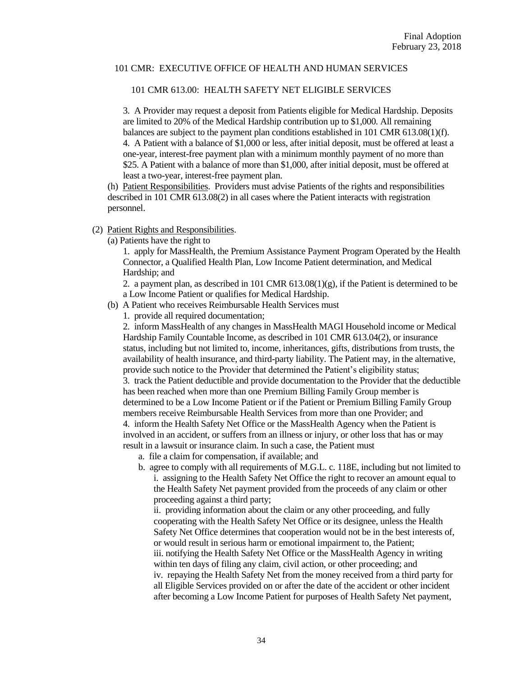### 101 CMR 613.00: HEALTH SAFETY NET ELIGIBLE SERVICES

3. A Provider may request a deposit from Patients eligible for Medical Hardship. Deposits are limited to 20% of the Medical Hardship contribution up to \$1,000. All remaining balances are subject to the payment plan conditions established in 101 CMR 613.08(1)(f). 4. A Patient with a balance of \$1,000 or less, after initial deposit, must be offered at least a one-year, interest-free payment plan with a minimum monthly payment of no more than \$25. A Patient with a balance of more than \$1,000, after initial deposit, must be offered at least a two-year, interest-free payment plan.

(h) Patient Responsibilities. Providers must advise Patients of the rights and responsibilities described in 101 CMR 613.08(2) in all cases where the Patient interacts with registration personnel.

### (2) Patient Rights and Responsibilities.

(a) Patients have the right to

1. apply for MassHealth, the Premium Assistance Payment Program Operated by the Health Connector, a Qualified Health Plan, Low Income Patient determination, and Medical Hardship; and

2. a payment plan, as described in 101 CMR  $613.08(1)(g)$ , if the Patient is determined to be a Low Income Patient or qualifies for Medical Hardship.

- (b) A Patient who receives Reimbursable Health Services must
	- 1. provide all required documentation;

2. inform MassHealth of any changes in MassHealth MAGI Household income or Medical Hardship Family Countable Income, as described in 101 CMR 613.04(2), or insurance status, including but not limited to, income, inheritances, gifts, distributions from trusts, the availability of health insurance, and third-party liability. The Patient may, in the alternative, provide such notice to the Provider that determined the Patient's eligibility status; 3. track the Patient deductible and provide documentation to the Provider that the deductible has been reached when more than one Premium Billing Family Group member is determined to be a Low Income Patient or if the Patient or Premium Billing Family Group members receive Reimbursable Health Services from more than one Provider; and 4. inform the Health Safety Net Office or the MassHealth Agency when the Patient is involved in an accident, or suffers from an illness or injury, or other loss that has or may result in a lawsuit or insurance claim. In such a case, the Patient must

- a. file a claim for compensation, if available; and
- b. agree to comply with all requirements of M.G.L. c. 118E, including but not limited to i. assigning to the Health Safety Net Office the right to recover an amount equal to the Health Safety Net payment provided from the proceeds of any claim or other proceeding against a third party;

ii. providing information about the claim or any other proceeding, and fully cooperating with the Health Safety Net Office or its designee, unless the Health Safety Net Office determines that cooperation would not be in the best interests of, or would result in serious harm or emotional impairment to, the Patient; iii. notifying the Health Safety Net Office or the MassHealth Agency in writing within ten days of filing any claim, civil action, or other proceeding; and iv. repaying the Health Safety Net from the money received from a third party for all Eligible Services provided on or after the date of the accident or other incident after becoming a Low Income Patient for purposes of Health Safety Net payment,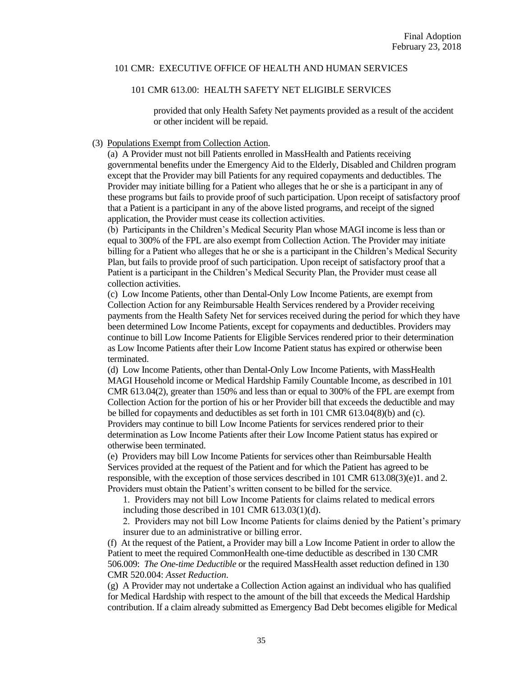#### 101 CMR 613.00: HEALTH SAFETY NET ELIGIBLE SERVICES

provided that only Health Safety Net payments provided as a result of the accident or other incident will be repaid.

#### (3) Populations Exempt from Collection Action.

(a) A Provider must not bill Patients enrolled in MassHealth and Patients receiving governmental benefits under the Emergency Aid to the Elderly, Disabled and Children program except that the Provider may bill Patients for any required copayments and deductibles. The Provider may initiate billing for a Patient who alleges that he or she is a participant in any of these programs but fails to provide proof of such participation. Upon receipt of satisfactory proof that a Patient is a participant in any of the above listed programs, and receipt of the signed application, the Provider must cease its collection activities.

(b) Participants in the Children's Medical Security Plan whose MAGI income is less than or equal to 300% of the FPL are also exempt from Collection Action. The Provider may initiate billing for a Patient who alleges that he or she is a participant in the Children's Medical Security Plan, but fails to provide proof of such participation. Upon receipt of satisfactory proof that a Patient is a participant in the Children's Medical Security Plan, the Provider must cease all collection activities.

(c) Low Income Patients, other than Dental-Only Low Income Patients, are exempt from Collection Action for any Reimbursable Health Services rendered by a Provider receiving payments from the Health Safety Net for services received during the period for which they have been determined Low Income Patients, except for copayments and deductibles. Providers may continue to bill Low Income Patients for Eligible Services rendered prior to their determination as Low Income Patients after their Low Income Patient status has expired or otherwise been terminated.

(d) Low Income Patients, other than Dental-Only Low Income Patients, with MassHealth MAGI Household income or Medical Hardship Family Countable Income, as described in 101 CMR 613.04(2), greater than 150% and less than or equal to 300% of the FPL are exempt from Collection Action for the portion of his or her Provider bill that exceeds the deductible and may be billed for copayments and deductibles as set forth in 101 CMR 613.04(8)(b) and (c). Providers may continue to bill Low Income Patients for services rendered prior to their determination as Low Income Patients after their Low Income Patient status has expired or otherwise been terminated.

(e) Providers may bill Low Income Patients for services other than Reimbursable Health Services provided at the request of the Patient and for which the Patient has agreed to be responsible, with the exception of those services described in 101 CMR 613.08(3)(e)1. and 2. Providers must obtain the Patient's written consent to be billed for the service.

1. Providers may not bill Low Income Patients for claims related to medical errors including those described in 101 CMR 613.03(1)(d).

2. Providers may not bill Low Income Patients for claims denied by the Patient's primary insurer due to an administrative or billing error.

(f) At the request of the Patient, a Provider may bill a Low Income Patient in order to allow the Patient to meet the required CommonHealth one-time deductible as described in 130 CMR 506.009: *The One-time Deductible* or the required MassHealth asset reduction defined in 130 CMR 520.004: *Asset Reduction*.

(g) A Provider may not undertake a Collection Action against an individual who has qualified for Medical Hardship with respect to the amount of the bill that exceeds the Medical Hardship contribution. If a claim already submitted as Emergency Bad Debt becomes eligible for Medical